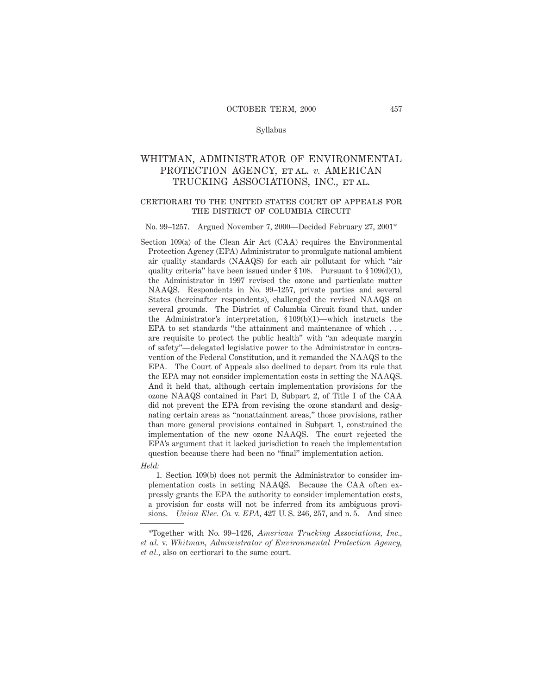## Syllabus

# WHITMAN, ADMINISTRATOR OF ENVIRONMENTAL PROTECTION AGENCY, et al. *v.* AMERICAN TRUCKING ASSOCIATIONS, INC., et al.

# certiorari to the united states court of appeals for THE DISTRICT OF COLUMBIA CIRCUIT

#### No. 99–1257. Argued November 7, 2000—Decided February 27, 2001\*

Section 109(a) of the Clean Air Act (CAA) requires the Environmental Protection Agency (EPA) Administrator to promulgate national ambient air quality standards (NAAQS) for each air pollutant for which "air quality criteria" have been issued under  $$108$ . Pursuant to  $$109(d)(1)$ , the Administrator in 1997 revised the ozone and particulate matter NAAQS. Respondents in No. 99–1257, private parties and several States (hereinafter respondents), challenged the revised NAAQS on several grounds. The District of Columbia Circuit found that, under the Administrator's interpretation, § 109(b)(1)—which instructs the EPA to set standards "the attainment and maintenance of which... are requisite to protect the public health" with "an adequate margin of safety"—delegated legislative power to the Administrator in contravention of the Federal Constitution, and it remanded the NAAQS to the EPA. The Court of Appeals also declined to depart from its rule that the EPA may not consider implementation costs in setting the NAAQS. And it held that, although certain implementation provisions for the ozone NAAQS contained in Part D, Subpart 2, of Title I of the CAA did not prevent the EPA from revising the ozone standard and designating certain areas as "nonattainment areas," those provisions, rather than more general provisions contained in Subpart 1, constrained the implementation of the new ozone NAAQS. The court rejected the EPA's argument that it lacked jurisdiction to reach the implementation question because there had been no "final" implementation action.

*Held:*

1. Section 109(b) does not permit the Administrator to consider implementation costs in setting NAAQS. Because the CAA often expressly grants the EPA the authority to consider implementation costs, a provision for costs will not be inferred from its ambiguous provisions. *Union Elec. Co.* v. *EPA,* 427 U. S. 246, 257, and n. 5. And since

<sup>\*</sup>Together with No. 99–1426, *American Trucking Associations, Inc., et al.* v. *Whitman, Administrator of Environmental Protection Agency, et al.,* also on certiorari to the same court.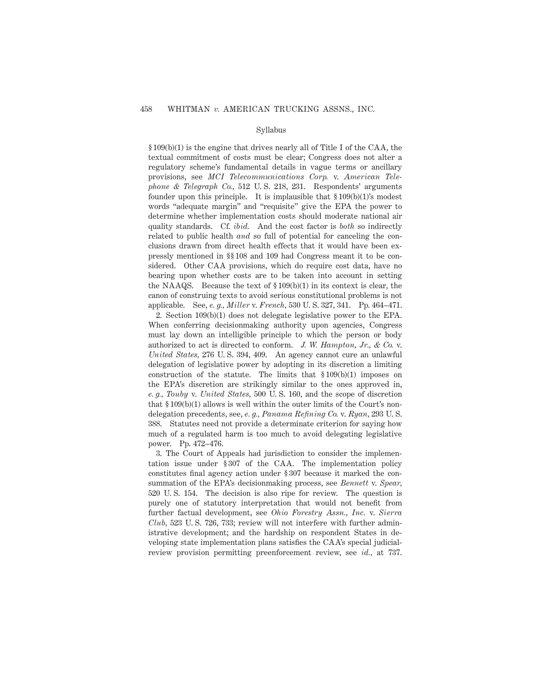## Syllabus

§ 109(b)(1) is the engine that drives nearly all of Title I of the CAA, the textual commitment of costs must be clear; Congress does not alter a regulatory scheme's fundamental details in vague terms or ancillary provisions, see *MCI Telecommunications Corp.* v. *American Telephone & Telegraph Co.,* 512 U. S. 218, 231. Respondents' arguments founder upon this principle. It is implausible that  $$109(b)(1)$ 's modest words "adequate margin" and "requisite" give the EPA the power to determine whether implementation costs should moderate national air quality standards. Cf. *ibid.* And the cost factor is *both* so indirectly related to public health *and* so full of potential for canceling the conclusions drawn from direct health effects that it would have been expressly mentioned in §§ 108 and 109 had Congress meant it to be considered. Other CAA provisions, which do require cost data, have no bearing upon whether costs are to be taken into account in setting the NAAQS. Because the text of § 109(b)(1) in its context is clear, the canon of construing texts to avoid serious constitutional problems is not applicable. See, *e. g., Miller* v. *French,* 530 U. S. 327, 341. Pp. 464–471.

2. Section 109(b)(1) does not delegate legislative power to the EPA. When conferring decisionmaking authority upon agencies, Congress must lay down an intelligible principle to which the person or body authorized to act is directed to conform. *J. W. Hampton, Jr., & Co.* v. *United States,* 276 U. S. 394, 409. An agency cannot cure an unlawful delegation of legislative power by adopting in its discretion a limiting construction of the statute. The limits that  $$109(b)(1)$  imposes on the EPA's discretion are strikingly similar to the ones approved in, *e. g., Touby* v. *United States,* 500 U. S. 160, and the scope of discretion that  $$109(b)(1)$  allows is well within the outer limits of the Court's nondelegation precedents, see, *e. g., Panama Refining Co.* v. *Ryan,* 293 U. S. 388. Statutes need not provide a determinate criterion for saying how much of a regulated harm is too much to avoid delegating legislative power. Pp. 472–476.

3. The Court of Appeals had jurisdiction to consider the implementation issue under § 307 of the CAA. The implementation policy constitutes final agency action under § 307 because it marked the consummation of the EPA's decisionmaking process, see *Bennett* v. *Spear,* 520 U. S. 154. The decision is also ripe for review. The question is purely one of statutory interpretation that would not benefit from further factual development, see *Ohio Forestry Assn., Inc.* v. *Sierra Club,* 523 U. S. 726, 733; review will not interfere with further administrative development; and the hardship on respondent States in developing state implementation plans satisfies the CAA's special judicialreview provision permitting preenforcement review, see *id.,* at 737.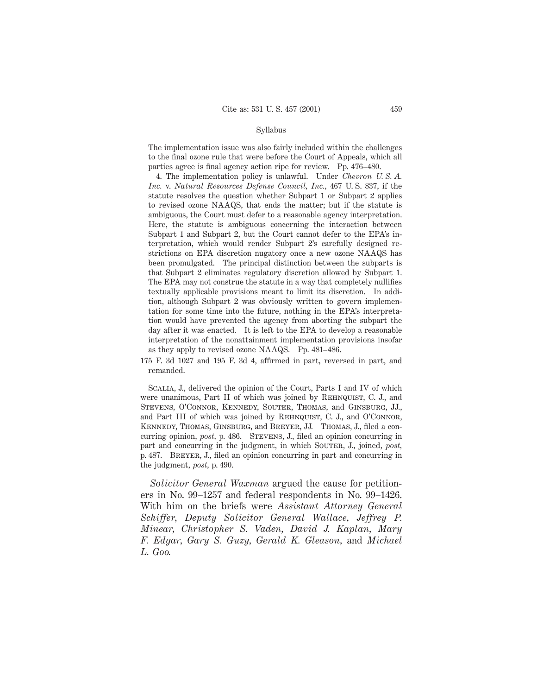## Syllabus

The implementation issue was also fairly included within the challenges to the final ozone rule that were before the Court of Appeals, which all parties agree is final agency action ripe for review. Pp. 476–480.

4. The implementation policy is unlawful. Under *Chevron U. S. A. Inc.* v. *Natural Resources Defense Council, Inc.,* 467 U. S. 837, if the statute resolves the question whether Subpart 1 or Subpart 2 applies to revised ozone NAAQS, that ends the matter; but if the statute is ambiguous, the Court must defer to a reasonable agency interpretation. Here, the statute is ambiguous concerning the interaction between Subpart 1 and Subpart 2, but the Court cannot defer to the EPA's interpretation, which would render Subpart 2's carefully designed restrictions on EPA discretion nugatory once a new ozone NAAQS has been promulgated. The principal distinction between the subparts is that Subpart 2 eliminates regulatory discretion allowed by Subpart 1. The EPA may not construe the statute in a way that completely nullifies textually applicable provisions meant to limit its discretion. In addition, although Subpart 2 was obviously written to govern implementation for some time into the future, nothing in the EPA's interpretation would have prevented the agency from aborting the subpart the day after it was enacted. It is left to the EPA to develop a reasonable interpretation of the nonattainment implementation provisions insofar as they apply to revised ozone NAAQS. Pp. 481–486.

175 F. 3d 1027 and 195 F. 3d 4, affirmed in part, reversed in part, and remanded.

Scalia, J., delivered the opinion of the Court, Parts I and IV of which were unanimous, Part II of which was joined by REHNQUIST, C. J., and Stevens, O'Connor, Kennedy, Souter, Thomas, and Ginsburg, JJ., and Part III of which was joined by REHNQUIST, C. J., and O'CONNOR, Kennedy, Thomas, Ginsburg, and Breyer, JJ. Thomas, J., filed a concurring opinion, *post*, p. 486. STEVENS, J., filed an opinion concurring in part and concurring in the judgment, in which SOUTER, J., joined, *post*, p. 487. Breyer, J., filed an opinion concurring in part and concurring in the judgment, *post,* p. 490.

*Solicitor General Waxman* argued the cause for petitioners in No. 99–1257 and federal respondents in No. 99–1426. With him on the briefs were *Assistant Attorney General Schiffer, Deputy Solicitor General Wallace, Jeffrey P. Minear, Christopher S. Vaden, David J. Kaplan, Mary F. Edgar, Gary S. Guzy, Gerald K. Gleason,* and *Michael L. Goo.*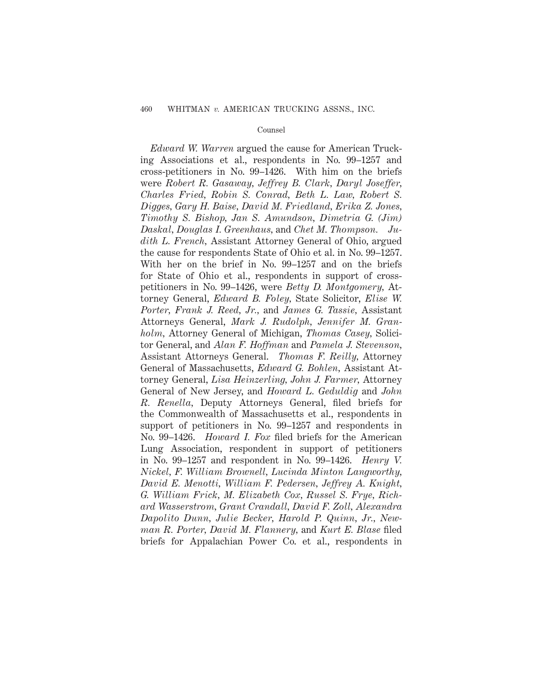## Counsel

*Edward W. Warren* argued the cause for American Trucking Associations et al., respondents in No. 99–1257 and cross-petitioners in No. 99–1426. With him on the briefs were *Robert R. Gasaway, Jeffrey B. Clark, Daryl Joseffer, Charles Fried, Robin S. Conrad, Beth L. Law, Robert S. Digges, Gary H. Baise, David M. Friedland, Erika Z. Jones, Timothy S. Bishop, Jan S. Amundson, Dimetria G. (Jim) Daskal, Douglas I. Greenhaus,* and *Chet M. Thompson. Judith L. French,* Assistant Attorney General of Ohio, argued the cause for respondents State of Ohio et al. in No. 99–1257. With her on the brief in No. 99–1257 and on the briefs for State of Ohio et al., respondents in support of crosspetitioners in No. 99–1426, were *Betty D. Montgomery,* Attorney General, *Edward B. Foley,* State Solicitor, *Elise W. Porter, Frank J. Reed, Jr.,* and *James G. Tassie,* Assistant Attorneys General, *Mark J. Rudolph, Jennifer M. Granholm,* Attorney General of Michigan, *Thomas Casey,* Solicitor General, and *Alan F. Hoffman* and *Pamela J. Stevenson,* Assistant Attorneys General. *Thomas F. Reilly,* Attorney General of Massachusetts, *Edward G. Bohlen,* Assistant Attorney General, *Lisa Heinzerling, John J. Farmer,* Attorney General of New Jersey, and *Howard L. Geduldig* and *John R. Renella,* Deputy Attorneys General, filed briefs for the Commonwealth of Massachusetts et al., respondents in support of petitioners in No. 99–1257 and respondents in No. 99–1426. *Howard I. Fox* filed briefs for the American Lung Association, respondent in support of petitioners in No. 99–1257 and respondent in No. 99–1426. *Henry V. Nickel, F. William Brownell, Lucinda Minton Langworthy, David E. Menotti, William F. Pedersen, Jeffrey A. Knight, G. William Frick, M. Elizabeth Cox, Russel S. Frye, Richard Wasserstrom, Grant Crandall, David F. Zoll, Alexandra Dapolito Dunn, Julie Becker, Harold P. Quinn, Jr., Newman R. Porter, David M. Flannery,* and *Kurt E. Blase* filed briefs for Appalachian Power Co. et al., respondents in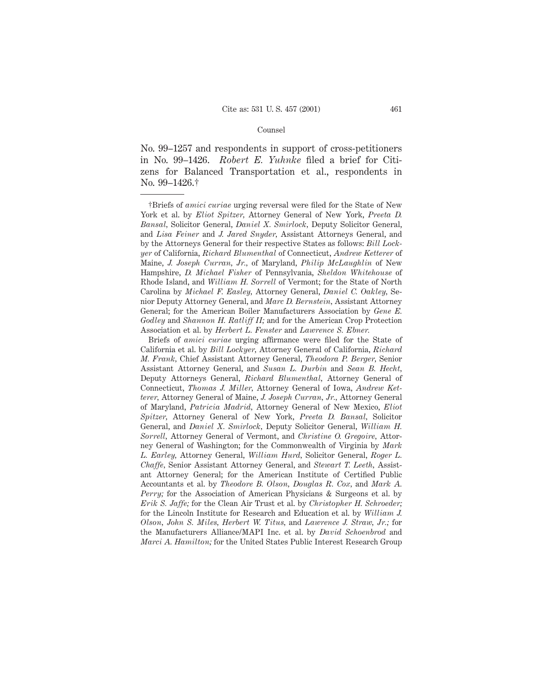## Counsel

No. 99–1257 and respondents in support of cross-petitioners in No. 99–1426. *Robert E. Yuhnke* filed a brief for Citizens for Balanced Transportation et al., respondents in No. 99–1426.†

†Briefs of *amici curiae* urging reversal were filed for the State of New York et al. by *Eliot Spitzer,* Attorney General of New York, *Preeta D. Bansal,* Solicitor General, *Daniel X. Smirlock,* Deputy Solicitor General, and *Lisa Feiner* and *J. Jared Snyder,* Assistant Attorneys General, and by the Attorneys General for their respective States as follows: *Bill Lockyer* of California, *Richard Blumenthal* of Connecticut, *Andrew Ketterer* of Maine, *J. Joseph Curran, Jr.,* of Maryland, *Philip McLaughlin* of New Hampshire, *D. Michael Fisher* of Pennsylvania, *Sheldon Whitehouse* of Rhode Island, and *William H. Sorrell* of Vermont; for the State of North Carolina by *Michael F. Easley,* Attorney General, *Daniel C. Oakley,* Senior Deputy Attorney General, and *Marc D. Bernstein,* Assistant Attorney General; for the American Boiler Manufacturers Association by *Gene E. Godley* and *Shannon H. Ratliff II;* and for the American Crop Protection Association et al. by *Herbert L. Fenster* and *Lawrence S. Ebner.*

Briefs of *amici curiae* urging affirmance were filed for the State of California et al. by *Bill Lockyer,* Attorney General of California, *Richard M. Frank,* Chief Assistant Attorney General, *Theodora P. Berger,* Senior Assistant Attorney General, and *Susan L. Durbin* and *Sean B. Hecht,* Deputy Attorneys General, *Richard Blumenthal,* Attorney General of Connecticut, *Thomas J. Miller,* Attorney General of Iowa, *Andrew Ketterer,* Attorney General of Maine, *J. Joseph Curran, Jr.,* Attorney General of Maryland, *Patricia Madrid,* Attorney General of New Mexico, *Eliot Spitzer,* Attorney General of New York, *Preeta D. Bansal,* Solicitor General, and *Daniel X. Smirlock,* Deputy Solicitor General, *William H. Sorrell,* Attorney General of Vermont, and *Christine O. Gregoire,* Attorney General of Washington; for the Commonwealth of Virginia by *Mark L. Earley,* Attorney General, *William Hurd,* Solicitor General, *Roger L. Chaffe,* Senior Assistant Attorney General, and *Stewart T. Leeth,* Assistant Attorney General; for the American Institute of Certified Public Accountants et al. by *Theodore B. Olson, Douglas R. Cox,* and *Mark A. Perry;* for the Association of American Physicians & Surgeons et al. by *Erik S. Jaffe;* for the Clean Air Trust et al. by *Christopher H. Schroeder;* for the Lincoln Institute for Research and Education et al. by *William J. Olson, John S. Miles, Herbert W. Titus,* and *Lawrence J. Straw, Jr.;* for the Manufacturers Alliance/MAPI Inc. et al. by *David Schoenbrod* and *Marci A. Hamilton;* for the United States Public Interest Research Group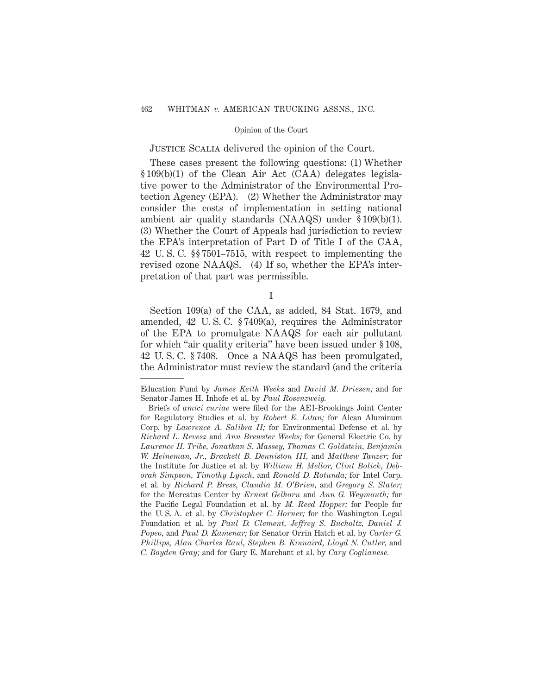# Justice Scalia delivered the opinion of the Court.

These cases present the following questions: (1) Whether § 109(b)(1) of the Clean Air Act (CAA) delegates legislative power to the Administrator of the Environmental Protection Agency (EPA). (2) Whether the Administrator may consider the costs of implementation in setting national ambient air quality standards (NAAQS) under § 109(b)(1). (3) Whether the Court of Appeals had jurisdiction to review the EPA's interpretation of Part D of Title I of the CAA, 42 U. S. C. §§ 7501–7515, with respect to implementing the revised ozone NAAQS. (4) If so, whether the EPA's interpretation of that part was permissible.

I

Section 109(a) of the CAA, as added, 84 Stat. 1679, and amended, 42 U. S. C. § 7409(a), requires the Administrator of the EPA to promulgate NAAQS for each air pollutant for which "air quality criteria" have been issued under § 108, 42 U. S. C. § 7408. Once a NAAQS has been promulgated, the Administrator must review the standard (and the criteria

Education Fund by *James Keith Weeks* and *David M. Driesen;* and for Senator James H. Inhofe et al. by *Paul Rosenzweig.*

Briefs of *amici curiae* were filed for the AEI-Brookings Joint Center for Regulatory Studies et al. by *Robert E. Litan;* for Alcan Aluminum Corp. by *Lawrence A. Salibra II;* for Environmental Defense et al. by *Richard L. Revesz* and *Ann Brewster Weeks;* for General Electric Co. by *Laurence H. Tribe, Jonathan S. Massey, Thomas C. Goldstein, Benjamin W. Heineman, Jr., Brackett B. Denniston III,* and *Matthew Tanzer;* for the Institute for Justice et al. by *William H. Mellor, Clint Bolick, Deborah Simpson, Timothy Lynch,* and *Ronald D. Rotunda;* for Intel Corp. et al. by *Richard P. Bress, Claudia M. O'Brien,* and *Gregory S. Slater;* for the Mercatus Center by *Ernest Gelhorn* and *Ann G. Weymouth;* for the Pacific Legal Foundation et al. by *M. Reed Hopper;* for People for the U. S. A. et al. by *Christopher C. Horner;* for the Washington Legal Foundation et al. by *Paul D. Clement, Jeffrey S. Bucholtz, Daniel J. Popeo,* and *Paul D. Kamenar;* for Senator Orrin Hatch et al. by *Carter G. Phillips, Alan Charles Raul, Stephen B. Kinnaird, Lloyd N. Cutler,* and *C. Boyden Gray;* and for Gary E. Marchant et al. by *Cary Coglianese.*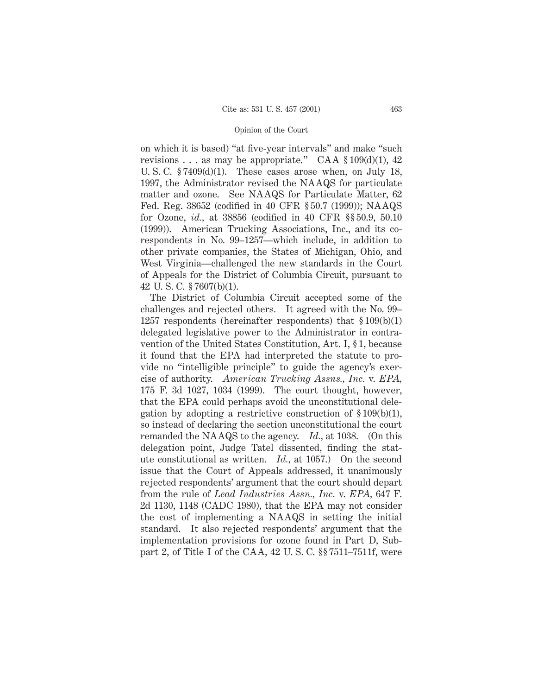on which it is based) "at five-year intervals" and make "such revisions . . . as may be appropriate." CAA  $$109(d)(1)$ , 42 U. S. C. § 7409(d)(1). These cases arose when, on July 18, 1997, the Administrator revised the NAAQS for particulate matter and ozone. See NAAQS for Particulate Matter, 62 Fed. Reg. 38652 (codified in 40 CFR § 50.7 (1999)); NAAQS for Ozone, *id.,* at 38856 (codified in 40 CFR §§ 50.9, 50.10 (1999)). American Trucking Associations, Inc., and its corespondents in No. 99–1257—which include, in addition to other private companies, the States of Michigan, Ohio, and West Virginia—challenged the new standards in the Court of Appeals for the District of Columbia Circuit, pursuant to 42 U. S. C. § 7607(b)(1).

The District of Columbia Circuit accepted some of the challenges and rejected others. It agreed with the No. 99– 1257 respondents (hereinafter respondents) that § 109(b)(1) delegated legislative power to the Administrator in contravention of the United States Constitution, Art. I, § 1, because it found that the EPA had interpreted the statute to provide no "intelligible principle" to guide the agency's exercise of authority. *American Trucking Assns., Inc.* v. *EPA,* 175 F. 3d 1027, 1034 (1999). The court thought, however, that the EPA could perhaps avoid the unconstitutional delegation by adopting a restrictive construction of  $$109(b)(1)$ , so instead of declaring the section unconstitutional the court remanded the NAAQS to the agency. *Id.,* at 1038. (On this delegation point, Judge Tatel dissented, finding the statute constitutional as written. *Id.,* at 1057.) On the second issue that the Court of Appeals addressed, it unanimously rejected respondents' argument that the court should depart from the rule of *Lead Industries Assn., Inc.* v. *EPA,* 647 F. 2d 1130, 1148 (CADC 1980), that the EPA may not consider the cost of implementing a NAAQS in setting the initial standard. It also rejected respondents' argument that the implementation provisions for ozone found in Part D, Subpart 2, of Title I of the CAA, 42 U. S. C. §§ 7511–7511f, were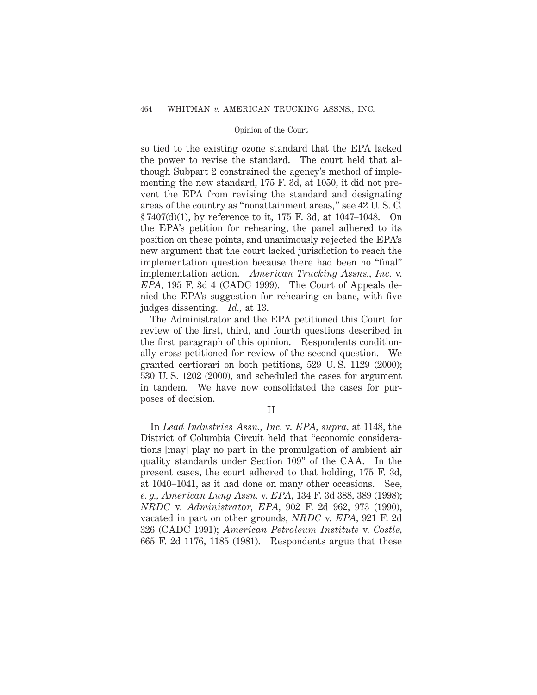so tied to the existing ozone standard that the EPA lacked the power to revise the standard. The court held that although Subpart 2 constrained the agency's method of implementing the new standard, 175 F. 3d, at 1050, it did not prevent the EPA from revising the standard and designating areas of the country as "nonattainment areas," see 42 U. S. C. § 7407(d)(1), by reference to it, 175 F. 3d, at 1047–1048. On the EPA's petition for rehearing, the panel adhered to its position on these points, and unanimously rejected the EPA's new argument that the court lacked jurisdiction to reach the implementation question because there had been no "final" implementation action. *American Trucking Assns., Inc.* v. *EPA,* 195 F. 3d 4 (CADC 1999). The Court of Appeals denied the EPA's suggestion for rehearing en banc, with five judges dissenting. *Id.,* at 13.

The Administrator and the EPA petitioned this Court for review of the first, third, and fourth questions described in the first paragraph of this opinion. Respondents conditionally cross-petitioned for review of the second question. We granted certiorari on both petitions, 529 U. S. 1129 (2000); 530 U. S. 1202 (2000), and scheduled the cases for argument in tandem. We have now consolidated the cases for purposes of decision.

II

In *Lead Industries Assn., Inc.* v. *EPA, supra,* at 1148, the District of Columbia Circuit held that "economic considerations [may] play no part in the promulgation of ambient air quality standards under Section 109" of the CAA. In the present cases, the court adhered to that holding, 175 F. 3d, at 1040–1041, as it had done on many other occasions. See, *e. g., American Lung Assn.* v. *EPA,* 134 F. 3d 388, 389 (1998); *NRDC* v. *Administrator, EPA,* 902 F. 2d 962, 973 (1990), vacated in part on other grounds, *NRDC* v. *EPA,* 921 F. 2d 326 (CADC 1991); *American Petroleum Institute* v. *Costle,* 665 F. 2d 1176, 1185 (1981). Respondents argue that these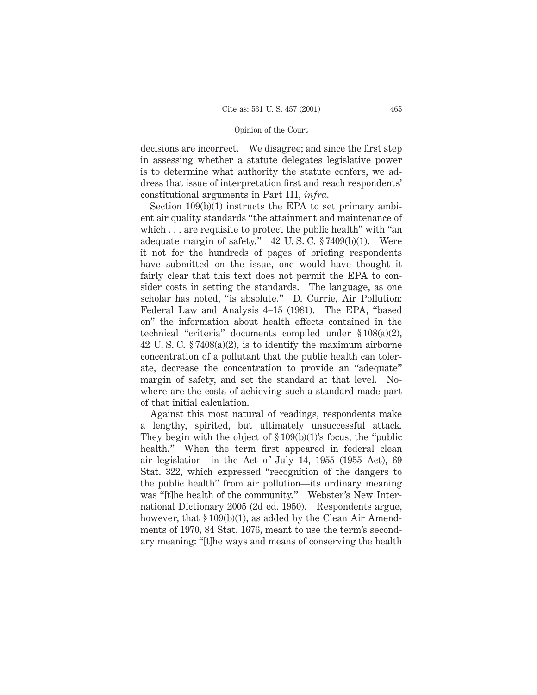decisions are incorrect. We disagree; and since the first step in assessing whether a statute delegates legislative power is to determine what authority the statute confers, we address that issue of interpretation first and reach respondents' constitutional arguments in Part III, *infra.*

Section 109(b)(1) instructs the EPA to set primary ambient air quality standards "the attainment and maintenance of which ... are requisite to protect the public health" with "an adequate margin of safety." 42 U. S. C. § 7409(b)(1). Were it not for the hundreds of pages of briefing respondents have submitted on the issue, one would have thought it fairly clear that this text does not permit the EPA to consider costs in setting the standards. The language, as one scholar has noted, "is absolute." D. Currie, Air Pollution: Federal Law and Analysis 4–15 (1981). The EPA, "based on" the information about health effects contained in the technical "criteria" documents compiled under § 108(a)(2), 42 U. S. C. § 7408(a)(2), is to identify the maximum airborne concentration of a pollutant that the public health can tolerate, decrease the concentration to provide an "adequate" margin of safety, and set the standard at that level. Nowhere are the costs of achieving such a standard made part of that initial calculation.

Against this most natural of readings, respondents make a lengthy, spirited, but ultimately unsuccessful attack. They begin with the object of § 109(b)(1)'s focus, the "public health." When the term first appeared in federal clean air legislation—in the Act of July 14, 1955 (1955 Act), 69 Stat. 322, which expressed "recognition of the dangers to the public health" from air pollution—its ordinary meaning was "[t]he health of the community." Webster's New International Dictionary 2005 (2d ed. 1950). Respondents argue, however, that §109(b)(1), as added by the Clean Air Amendments of 1970, 84 Stat. 1676, meant to use the term's secondary meaning: "[t]he ways and means of conserving the health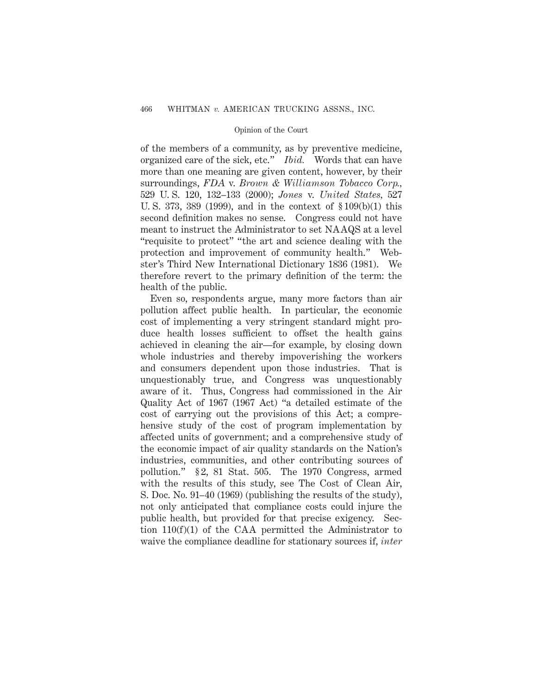of the members of a community, as by preventive medicine, organized care of the sick, etc." *Ibid.* Words that can have more than one meaning are given content, however, by their surroundings, *FDA* v. *Brown & Williamson Tobacco Corp.,* 529 U. S. 120, 132–133 (2000); *Jones* v. *United States,* 527 U. S. 373, 389 (1999), and in the context of § 109(b)(1) this second definition makes no sense. Congress could not have meant to instruct the Administrator to set NAAQS at a level "requisite to protect" "the art and science dealing with the protection and improvement of community health." Webster's Third New International Dictionary 1836 (1981). We therefore revert to the primary definition of the term: the health of the public.

Even so, respondents argue, many more factors than air pollution affect public health. In particular, the economic cost of implementing a very stringent standard might produce health losses sufficient to offset the health gains achieved in cleaning the air—for example, by closing down whole industries and thereby impoverishing the workers and consumers dependent upon those industries. That is unquestionably true, and Congress was unquestionably aware of it. Thus, Congress had commissioned in the Air Quality Act of 1967 (1967 Act) "a detailed estimate of the cost of carrying out the provisions of this Act; a comprehensive study of the cost of program implementation by affected units of government; and a comprehensive study of the economic impact of air quality standards on the Nation's industries, communities, and other contributing sources of pollution." § 2, 81 Stat. 505. The 1970 Congress, armed with the results of this study, see The Cost of Clean Air, S. Doc. No. 91–40 (1969) (publishing the results of the study), not only anticipated that compliance costs could injure the public health, but provided for that precise exigency. Section 110(f)(1) of the CAA permitted the Administrator to waive the compliance deadline for stationary sources if, *inter*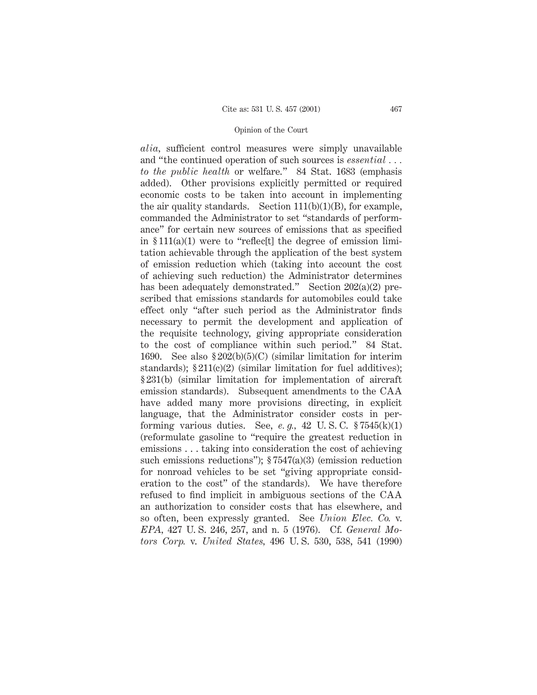*alia,* sufficient control measures were simply unavailable and "the continued operation of such sources is *essential . . . to the public health* or welfare." 84 Stat. 1683 (emphasis added). Other provisions explicitly permitted or required economic costs to be taken into account in implementing the air quality standards. Section  $111(b)(1)(B)$ , for example, commanded the Administrator to set "standards of performance" for certain new sources of emissions that as specified in  $$111(a)(1)$  were to "reflec<sup>[t]</sup> the degree of emission limitation achievable through the application of the best system of emission reduction which (taking into account the cost of achieving such reduction) the Administrator determines has been adequately demonstrated." Section 202(a)(2) prescribed that emissions standards for automobiles could take effect only "after such period as the Administrator finds necessary to permit the development and application of the requisite technology, giving appropriate consideration to the cost of compliance within such period." 84 Stat. 1690. See also § 202(b)(5)(C) (similar limitation for interim standards);  $§211(c)(2)$  (similar limitation for fuel additives); § 231(b) (similar limitation for implementation of aircraft emission standards). Subsequent amendments to the CAA have added many more provisions directing, in explicit language, that the Administrator consider costs in performing various duties. See, *e. g.,* 42 U. S. C. § 7545(k)(1) (reformulate gasoline to "require the greatest reduction in emissions . . . taking into consideration the cost of achieving such emissions reductions");  $\S 7547(a)(3)$  (emission reduction for nonroad vehicles to be set "giving appropriate consideration to the cost" of the standards). We have therefore refused to find implicit in ambiguous sections of the CAA an authorization to consider costs that has elsewhere, and so often, been expressly granted. See *Union Elec. Co.* v. *EPA,* 427 U. S. 246, 257, and n. 5 (1976). Cf. *General Motors Corp.* v. *United States,* 496 U. S. 530, 538, 541 (1990)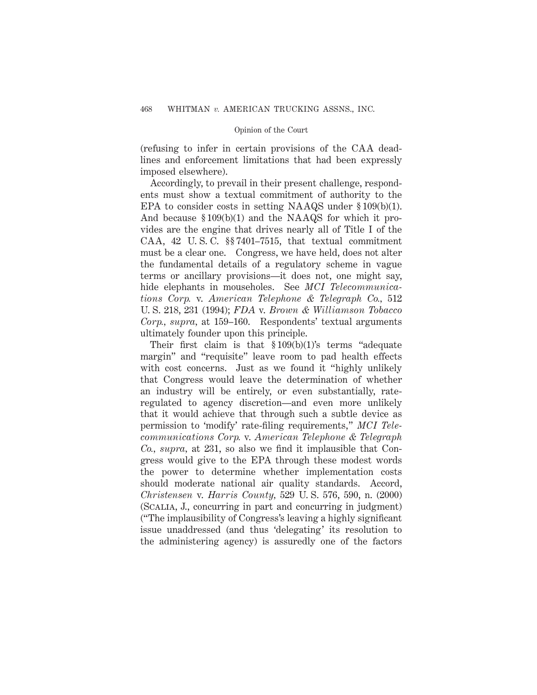(refusing to infer in certain provisions of the CAA deadlines and enforcement limitations that had been expressly imposed elsewhere).

Accordingly, to prevail in their present challenge, respondents must show a textual commitment of authority to the EPA to consider costs in setting NAAQS under § 109(b)(1). And because § 109(b)(1) and the NAAQS for which it provides are the engine that drives nearly all of Title I of the CAA, 42 U. S. C. §§ 7401–7515, that textual commitment must be a clear one. Congress, we have held, does not alter the fundamental details of a regulatory scheme in vague terms or ancillary provisions—it does not, one might say, hide elephants in mouseholes. See *MCI Telecommunications Corp.* v. *American Telephone & Telegraph Co.,* 512 U. S. 218, 231 (1994); *FDA* v. *Brown & Williamson Tobacco Corp., supra,* at 159–160. Respondents' textual arguments ultimately founder upon this principle.

Their first claim is that  $$109(b)(1)$ 's terms "adequate" margin" and "requisite" leave room to pad health effects with cost concerns. Just as we found it "highly unlikely" that Congress would leave the determination of whether an industry will be entirely, or even substantially, rateregulated to agency discretion—and even more unlikely that it would achieve that through such a subtle device as permission to 'modify' rate-filing requirements," *MCI Telecommunications Corp.* v. *American Telephone & Telegraph Co., supra,* at 231, so also we find it implausible that Congress would give to the EPA through these modest words the power to determine whether implementation costs should moderate national air quality standards. Accord, *Christensen* v. *Harris County,* 529 U. S. 576, 590, n. (2000) (Scalia, J., concurring in part and concurring in judgment) ("The implausibility of Congress's leaving a highly significant issue unaddressed (and thus 'delegating' its resolution to the administering agency) is assuredly one of the factors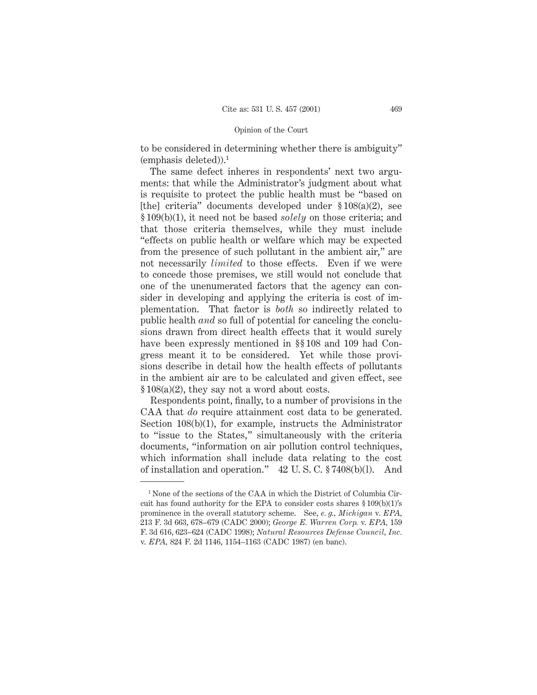to be considered in determining whether there is ambiguity"  $(emphasis deleted)$ ).<sup>1</sup>

The same defect inheres in respondents' next two arguments: that while the Administrator's judgment about what is requisite to protect the public health must be "based on [the] criteria" documents developed under § 108(a)(2), see § 109(b)(1), it need not be based *solely* on those criteria; and that those criteria themselves, while they must include "effects on public health or welfare which may be expected from the presence of such pollutant in the ambient air," are not necessarily *limited* to those effects. Even if we were to concede those premises, we still would not conclude that one of the unenumerated factors that the agency can consider in developing and applying the criteria is cost of implementation. That factor is *both* so indirectly related to public health *and* so full of potential for canceling the conclusions drawn from direct health effects that it would surely have been expressly mentioned in §§ 108 and 109 had Congress meant it to be considered. Yet while those provisions describe in detail how the health effects of pollutants in the ambient air are to be calculated and given effect, see § 108(a)(2), they say not a word about costs.

Respondents point, finally, to a number of provisions in the CAA that *do* require attainment cost data to be generated. Section 108(b)(1), for example, instructs the Administrator to "issue to the States," simultaneously with the criteria documents, "information on air pollution control techniques, which information shall include data relating to the cost of installation and operation." 42 U. S. C. § 7408(b)(l). And

<sup>&</sup>lt;sup>1</sup> None of the sections of the CAA in which the District of Columbia Circuit has found authority for the EPA to consider costs shares § 109(b)(1)'s prominence in the overall statutory scheme. See, *e. g., Michigan* v. *EPA,* 213 F. 3d 663, 678–679 (CADC 2000); *George E. Warren Corp.* v. *EPA,* 159 F. 3d 616, 623–624 (CADC 1998); *Natural Resources Defense Council, Inc.* v. *EPA,* 824 F. 2d 1146, 1154–1163 (CADC 1987) (en banc).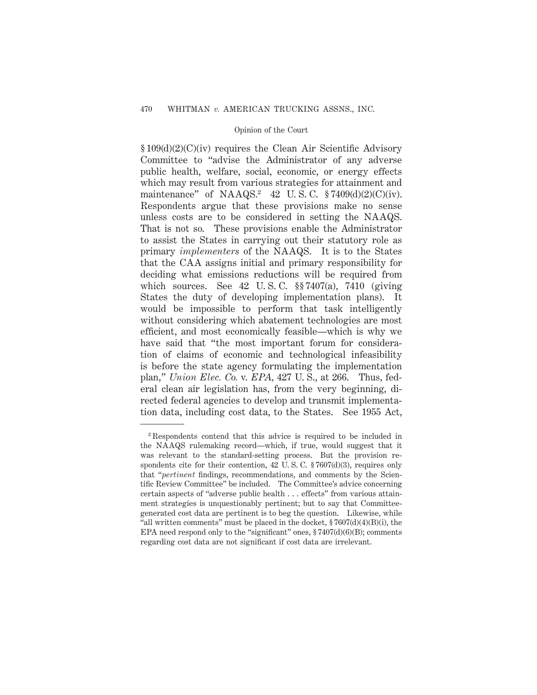§ 109(d)(2)(C)(iv) requires the Clean Air Scientific Advisory Committee to "advise the Administrator of any adverse public health, welfare, social, economic, or energy effects which may result from various strategies for attainment and maintenance" of NAAQS.<sup>2</sup> 42 U.S.C.  $$7409(d)(2)(C)(iv)$ . Respondents argue that these provisions make no sense unless costs are to be considered in setting the NAAQS. That is not so. These provisions enable the Administrator to assist the States in carrying out their statutory role as primary *implementers* of the NAAQS. It is to the States that the CAA assigns initial and primary responsibility for deciding what emissions reductions will be required from which sources. See  $42$  U.S.C.  $\S$  $\S$ 7407(a), 7410 (giving States the duty of developing implementation plans). It would be impossible to perform that task intelligently without considering which abatement technologies are most efficient, and most economically feasible—which is why we have said that "the most important forum for consideration of claims of economic and technological infeasibility is before the state agency formulating the implementation plan," *Union Elec. Co.* v. *EPA,* 427 U. S., at 266. Thus, federal clean air legislation has, from the very beginning, directed federal agencies to develop and transmit implementation data, including cost data, to the States. See 1955 Act,

<sup>2</sup> Respondents contend that this advice is required to be included in the NAAQS rulemaking record—which, if true, would suggest that it was relevant to the standard-setting process. But the provision respondents cite for their contention,  $42 \text{ U.S. C. }$  \$7607(d)(3), requires only that "*pertinent* findings, recommendations, and comments by the Scientific Review Committee" be included. The Committee's advice concerning certain aspects of "adverse public health... effects" from various attainment strategies is unquestionably pertinent; but to say that Committeegenerated cost data are pertinent is to beg the question. Likewise, while "all written comments" must be placed in the docket,  $$7607(d)(4)(B)(i)$ , the EPA need respond only to the "significant" ones,  $$7407(d)(6)(B)$ ; comments regarding cost data are not significant if cost data are irrelevant.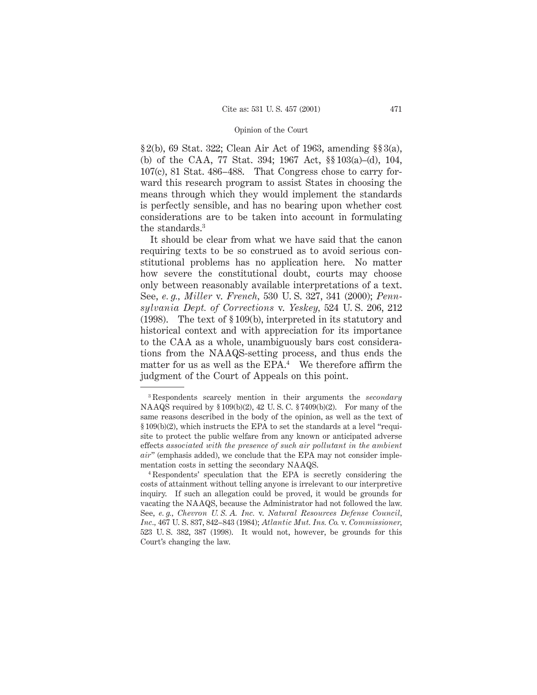§ 2(b), 69 Stat. 322; Clean Air Act of 1963, amending §§ 3(a), (b) of the CAA, 77 Stat. 394; 1967 Act, §§ 103(a)–(d), 104, 107(c), 81 Stat. 486–488. That Congress chose to carry forward this research program to assist States in choosing the means through which they would implement the standards is perfectly sensible, and has no bearing upon whether cost considerations are to be taken into account in formulating the standards.3

It should be clear from what we have said that the canon requiring texts to be so construed as to avoid serious constitutional problems has no application here. No matter how severe the constitutional doubt, courts may choose only between reasonably available interpretations of a text. See, *e. g., Miller* v. *French,* 530 U. S. 327, 341 (2000); *Pennsylvania Dept. of Corrections* v. *Yeskey,* 524 U. S. 206, 212 (1998). The text of § 109(b), interpreted in its statutory and historical context and with appreciation for its importance to the CAA as a whole, unambiguously bars cost considerations from the NAAQS-setting process, and thus ends the matter for us as well as the EPA.4 We therefore affirm the judgment of the Court of Appeals on this point.

<sup>3</sup> Respondents scarcely mention in their arguments the *secondary* NAAQS required by  $\S 109(b)(2)$ , 42 U.S.C.  $\S 7409(b)(2)$ . For many of the same reasons described in the body of the opinion, as well as the text of § 109(b)(2), which instructs the EPA to set the standards at a level "requisite to protect the public welfare from any known or anticipated adverse effects *associated with the presence of such air pollutant in the ambient air*" (emphasis added), we conclude that the EPA may not consider implementation costs in setting the secondary NAAQS.

<sup>4</sup> Respondents' speculation that the EPA is secretly considering the costs of attainment without telling anyone is irrelevant to our interpretive inquiry. If such an allegation could be proved, it would be grounds for vacating the NAAQS, because the Administrator had not followed the law. See, *e. g., Chevron U. S. A. Inc.* v. *Natural Resources Defense Council, Inc.,* 467 U. S. 837, 842–843 (1984); *Atlantic Mut. Ins. Co.* v. *Commissioner,* 523 U. S. 382, 387 (1998). It would not, however, be grounds for this Court's changing the law.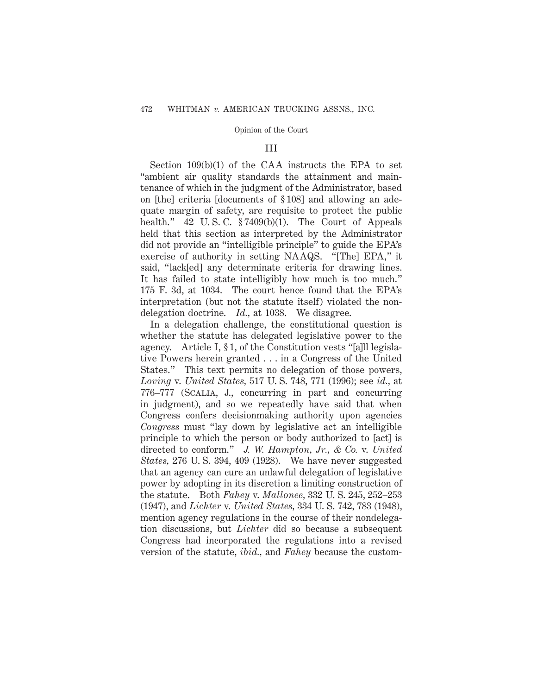## III

Section 109(b)(1) of the CAA instructs the EPA to set "ambient air quality standards the attainment and maintenance of which in the judgment of the Administrator, based on [the] criteria [documents of § 108] and allowing an adequate margin of safety, are requisite to protect the public health." 42 U.S.C. §7409(b)(1). The Court of Appeals held that this section as interpreted by the Administrator did not provide an "intelligible principle" to guide the EPA's exercise of authority in setting NAAQS. "[The] EPA," it said, "lack[ed] any determinate criteria for drawing lines. It has failed to state intelligibly how much is too much." 175 F. 3d, at 1034. The court hence found that the EPA's interpretation (but not the statute itself) violated the nondelegation doctrine. *Id.,* at 1038. We disagree.

In a delegation challenge, the constitutional question is whether the statute has delegated legislative power to the agency. Article I, § 1, of the Constitution vests "[a]ll legislative Powers herein granted . . . in a Congress of the United States." This text permits no delegation of those powers, *Loving* v. *United States,* 517 U. S. 748, 771 (1996); see *id.,* at 776–777 (Scalia, J., concurring in part and concurring in judgment), and so we repeatedly have said that when Congress confers decisionmaking authority upon agencies *Congress* must "lay down by legislative act an intelligible principle to which the person or body authorized to [act] is directed to conform." *J. W. Hampton, Jr., & Co.* v. *United States,* 276 U. S. 394, 409 (1928). We have never suggested that an agency can cure an unlawful delegation of legislative power by adopting in its discretion a limiting construction of the statute. Both *Fahey* v. *Mallonee,* 332 U. S. 245, 252–253 (1947), and *Lichter* v. *United States,* 334 U. S. 742, 783 (1948), mention agency regulations in the course of their nondelegation discussions, but *Lichter* did so because a subsequent Congress had incorporated the regulations into a revised version of the statute, *ibid.,* and *Fahey* because the custom-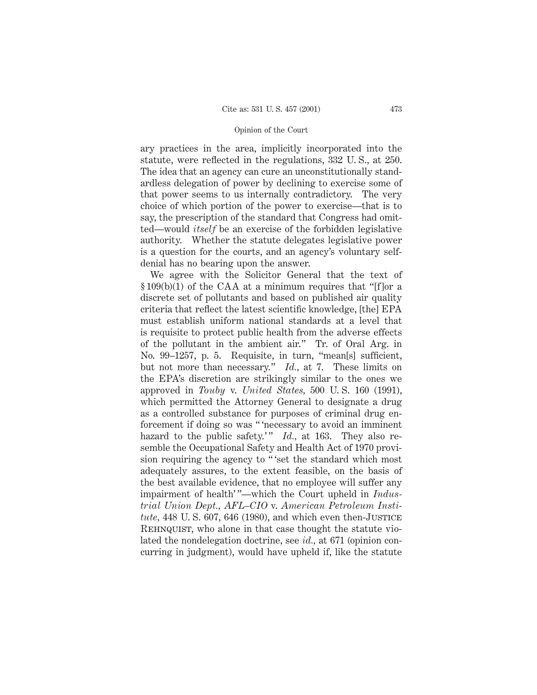ary practices in the area, implicitly incorporated into the statute, were reflected in the regulations, 332 U. S., at 250. The idea that an agency can cure an unconstitutionally standardless delegation of power by declining to exercise some of that power seems to us internally contradictory. The very choice of which portion of the power to exercise—that is to say, the prescription of the standard that Congress had omitted—would *itself* be an exercise of the forbidden legislative authority. Whether the statute delegates legislative power is a question for the courts, and an agency's voluntary selfdenial has no bearing upon the answer.

We agree with the Solicitor General that the text of § 109(b)(1) of the CAA at a minimum requires that "[f]or a discrete set of pollutants and based on published air quality criteria that reflect the latest scientific knowledge, [the] EPA must establish uniform national standards at a level that is requisite to protect public health from the adverse effects of the pollutant in the ambient air." Tr. of Oral Arg. in No. 99–1257, p. 5. Requisite, in turn, "mean[s] sufficient, but not more than necessary." *Id.,* at 7. These limits on the EPA's discretion are strikingly similar to the ones we approved in *Touby* v. *United States,* 500 U. S. 160 (1991), which permitted the Attorney General to designate a drug as a controlled substance for purposes of criminal drug enforcement if doing so was " 'necessary to avoid an imminent hazard to the public safety.'" *Id.*, at 163. They also resemble the Occupational Safety and Health Act of 1970 provision requiring the agency to " 'set the standard which most adequately assures, to the extent feasible, on the basis of the best available evidence, that no employee will suffer any impairment of health' "—which the Court upheld in *Industrial Union Dept., AFL–CIO* v. *American Petroleum Insti* $tute$ , 448 U.S.  $607$ ,  $646$  (1980), and which even then-JUSTICE Rehnquist, who alone in that case thought the statute violated the nondelegation doctrine, see *id.,* at 671 (opinion concurring in judgment), would have upheld if, like the statute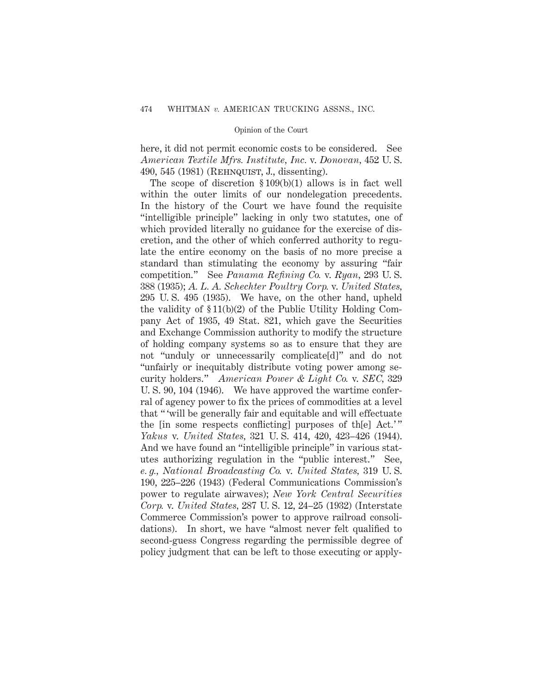here, it did not permit economic costs to be considered. See *American Textile Mfrs. Institute, Inc.* v. *Donovan,* 452 U. S. 490, 545 (1981) (Rehnquist, J., dissenting).

The scope of discretion  $\S 109(b)(1)$  allows is in fact well within the outer limits of our nondelegation precedents. In the history of the Court we have found the requisite "intelligible principle" lacking in only two statutes, one of which provided literally no guidance for the exercise of discretion, and the other of which conferred authority to regulate the entire economy on the basis of no more precise a standard than stimulating the economy by assuring "fair competition." See *Panama Refining Co.* v. *Ryan,* 293 U. S. 388 (1935); *A. L. A. Schechter Poultry Corp.* v. *United States,* 295 U. S. 495 (1935). We have, on the other hand, upheld the validity of § 11(b)(2) of the Public Utility Holding Company Act of 1935, 49 Stat. 821, which gave the Securities and Exchange Commission authority to modify the structure of holding company systems so as to ensure that they are not "unduly or unnecessarily complicate[d]" and do not "unfairly or inequitably distribute voting power among security holders." *American Power & Light Co.* v. *SEC,* 329 U. S. 90, 104 (1946). We have approved the wartime conferral of agency power to fix the prices of commodities at a level that " 'will be generally fair and equitable and will effectuate the [in some respects conflicting] purposes of th[e] Act.'" *Yakus* v. *United States,* 321 U. S. 414, 420, 423–426 (1944). And we have found an "intelligible principle" in various statutes authorizing regulation in the "public interest." See, *e. g., National Broadcasting Co.* v. *United States,* 319 U. S. 190, 225–226 (1943) (Federal Communications Commission's power to regulate airwaves); *New York Central Securities Corp.* v. *United States,* 287 U. S. 12, 24–25 (1932) (Interstate Commerce Commission's power to approve railroad consolidations). In short, we have "almost never felt qualified to second-guess Congress regarding the permissible degree of policy judgment that can be left to those executing or apply-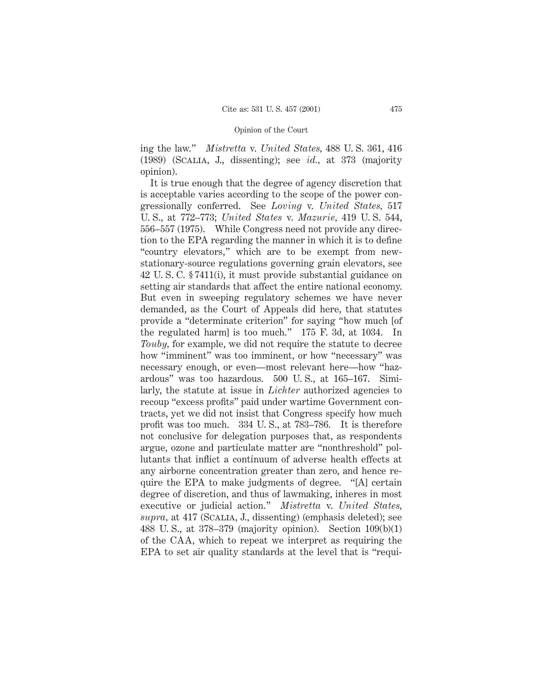ing the law." *Mistretta* v. *United States,* 488 U. S. 361, 416 (1989) (Scalia, J., dissenting); see *id.,* at 373 (majority opinion).

It is true enough that the degree of agency discretion that is acceptable varies according to the scope of the power congressionally conferred. See *Loving* v. *United States,* 517 U. S., at 772–773; *United States* v. *Mazurie,* 419 U. S. 544, 556–557 (1975). While Congress need not provide any direction to the EPA regarding the manner in which it is to define "country elevators," which are to be exempt from newstationary-source regulations governing grain elevators, see 42 U. S. C. § 7411(i), it must provide substantial guidance on setting air standards that affect the entire national economy. But even in sweeping regulatory schemes we have never demanded, as the Court of Appeals did here, that statutes provide a "determinate criterion" for saying "how much [of the regulated harm] is too much." 175 F. 3d, at 1034. In *Touby,* for example, we did not require the statute to decree how "imminent" was too imminent, or how "necessary" was necessary enough, or even—most relevant here—how "hazardous" was too hazardous. 500 U. S., at 165–167. Similarly, the statute at issue in *Lichter* authorized agencies to recoup "excess profits" paid under wartime Government contracts, yet we did not insist that Congress specify how much profit was too much. 334 U. S., at 783–786. It is therefore not conclusive for delegation purposes that, as respondents argue, ozone and particulate matter are "nonthreshold" pollutants that inflict a continuum of adverse health effects at any airborne concentration greater than zero, and hence require the EPA to make judgments of degree. "[A] certain degree of discretion, and thus of lawmaking, inheres in most executive or judicial action." *Mistretta* v. *United States, supra,* at 417 (Scalia, J., dissenting) (emphasis deleted); see 488 U. S., at 378–379 (majority opinion). Section 109(b)(1) of the CAA, which to repeat we interpret as requiring the EPA to set air quality standards at the level that is "requi-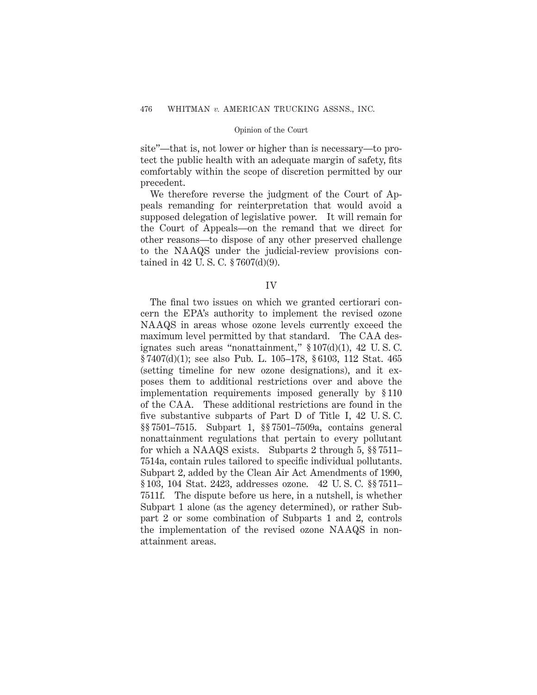site"—that is, not lower or higher than is necessary—to protect the public health with an adequate margin of safety, fits comfortably within the scope of discretion permitted by our precedent.

We therefore reverse the judgment of the Court of Appeals remanding for reinterpretation that would avoid a supposed delegation of legislative power. It will remain for the Court of Appeals—on the remand that we direct for other reasons—to dispose of any other preserved challenge to the NAAQS under the judicial-review provisions contained in 42 U. S. C. § 7607(d)(9).

# IV

The final two issues on which we granted certiorari concern the EPA's authority to implement the revised ozone NAAQS in areas whose ozone levels currently exceed the maximum level permitted by that standard. The CAA designates such areas "nonattainment,"  $\S 107(d)(1)$ , 42 U.S.C. § 7407(d)(1); see also Pub. L. 105–178, § 6103, 112 Stat. 465 (setting timeline for new ozone designations), and it exposes them to additional restrictions over and above the implementation requirements imposed generally by § 110 of the CAA. These additional restrictions are found in the five substantive subparts of Part D of Title I, 42 U. S. C. §§ 7501–7515. Subpart 1, §§ 7501–7509a, contains general nonattainment regulations that pertain to every pollutant for which a NAAQS exists. Subparts 2 through 5, §§ 7511– 7514a, contain rules tailored to specific individual pollutants. Subpart 2, added by the Clean Air Act Amendments of 1990, § 103, 104 Stat. 2423, addresses ozone. 42 U. S. C. §§ 7511– 7511f. The dispute before us here, in a nutshell, is whether Subpart 1 alone (as the agency determined), or rather Subpart 2 or some combination of Subparts 1 and 2, controls the implementation of the revised ozone NAAQS in nonattainment areas.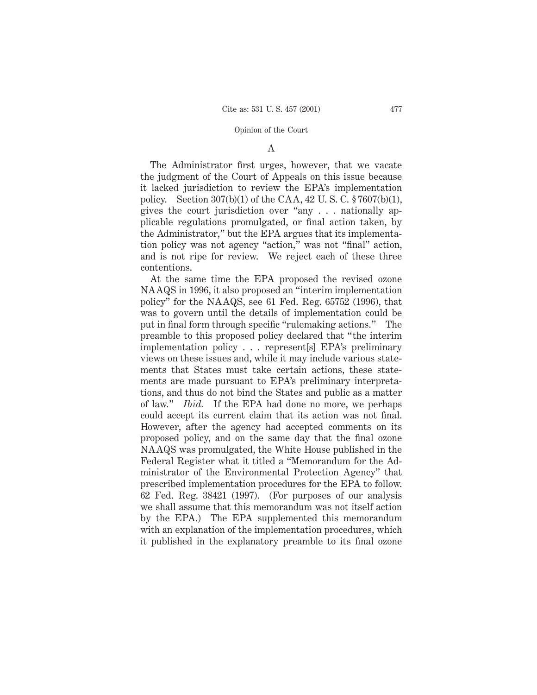# A

The Administrator first urges, however, that we vacate the judgment of the Court of Appeals on this issue because it lacked jurisdiction to review the EPA's implementation policy. Section 307(b)(1) of the CAA, 42 U. S. C. § 7607(b)(1), gives the court jurisdiction over "any . . . nationally applicable regulations promulgated, or final action taken, by the Administrator," but the EPA argues that its implementation policy was not agency "action," was not "final" action, and is not ripe for review. We reject each of these three contentions.

At the same time the EPA proposed the revised ozone NAAQS in 1996, it also proposed an "interim implementation policy" for the NAAQS, see 61 Fed. Reg. 65752 (1996), that was to govern until the details of implementation could be put in final form through specific "rulemaking actions." The preamble to this proposed policy declared that "the interim implementation policy . . . represent[s] EPA's preliminary views on these issues and, while it may include various statements that States must take certain actions, these statements are made pursuant to EPA's preliminary interpretations, and thus do not bind the States and public as a matter of law." *Ibid.* If the EPA had done no more, we perhaps could accept its current claim that its action was not final. However, after the agency had accepted comments on its proposed policy, and on the same day that the final ozone NAAQS was promulgated, the White House published in the Federal Register what it titled a "Memorandum for the Administrator of the Environmental Protection Agency" that prescribed implementation procedures for the EPA to follow. 62 Fed. Reg. 38421 (1997). (For purposes of our analysis we shall assume that this memorandum was not itself action by the EPA.) The EPA supplemented this memorandum with an explanation of the implementation procedures, which it published in the explanatory preamble to its final ozone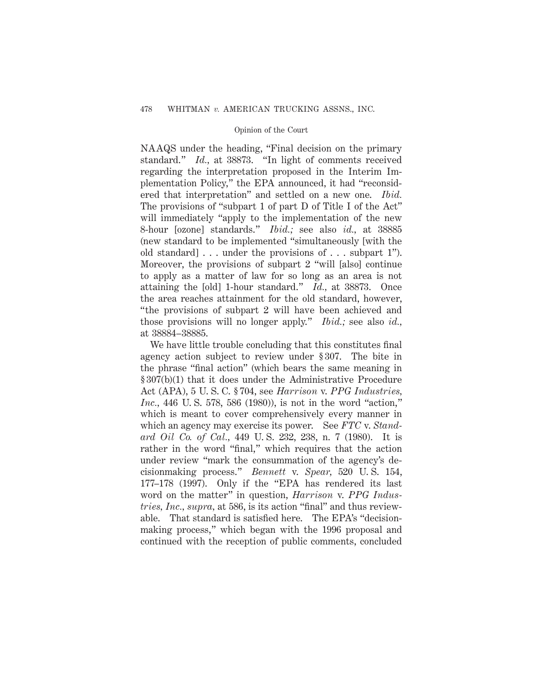NAAQS under the heading, "Final decision on the primary standard." *Id.,* at 38873. "In light of comments received regarding the interpretation proposed in the Interim Implementation Policy," the EPA announced, it had "reconsidered that interpretation" and settled on a new one. *Ibid.* The provisions of "subpart 1 of part D of Title I of the Act" will immediately "apply to the implementation of the new 8-hour [ozone] standards." *Ibid.;* see also *id.,* at 38885 (new standard to be implemented "simultaneously [with the old standard] . . . under the provisions of . . . subpart 1"). Moreover, the provisions of subpart 2 "will [also] continue to apply as a matter of law for so long as an area is not attaining the [old] 1-hour standard." *Id.,* at 38873. Once the area reaches attainment for the old standard, however, "the provisions of subpart 2 will have been achieved and those provisions will no longer apply." *Ibid.;* see also *id.,* at 38884–38885.

We have little trouble concluding that this constitutes final agency action subject to review under § 307. The bite in the phrase "final action" (which bears the same meaning in § 307(b)(1) that it does under the Administrative Procedure Act (APA), 5 U. S. C. § 704, see *Harrison* v. *PPG Industries, Inc.*, 446 U.S. 578, 586 (1980)), is not in the word "action," which is meant to cover comprehensively every manner in which an agency may exercise its power. See *FTC* v. *Standard Oil Co. of Cal.,* 449 U. S. 232, 238, n. 7 (1980). It is rather in the word "final," which requires that the action under review "mark the consummation of the agency's decisionmaking process." *Bennett* v. *Spear,* 520 U. S. 154, 177–178 (1997). Only if the "EPA has rendered its last word on the matter" in question, *Harrison* v. *PPG Industries, Inc., supra,* at 586, is its action "final" and thus reviewable. That standard is satisfied here. The EPA's "decisionmaking process," which began with the 1996 proposal and continued with the reception of public comments, concluded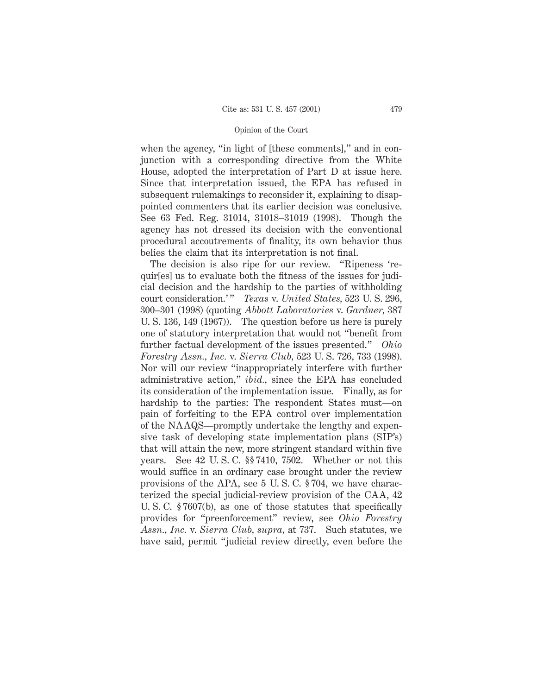when the agency, "in light of [these comments]," and in conjunction with a corresponding directive from the White House, adopted the interpretation of Part D at issue here. Since that interpretation issued, the EPA has refused in subsequent rulemakings to reconsider it, explaining to disappointed commenters that its earlier decision was conclusive. See 63 Fed. Reg. 31014, 31018–31019 (1998). Though the agency has not dressed its decision with the conventional procedural accoutrements of finality, its own behavior thus belies the claim that its interpretation is not final.

The decision is also ripe for our review. "Ripeness 'requir[es] us to evaluate both the fitness of the issues for judicial decision and the hardship to the parties of withholding court consideration.' " *Texas* v. *United States,* 523 U. S. 296, 300–301 (1998) (quoting *Abbott Laboratories* v. *Gardner,* 387 U. S. 136, 149 (1967)). The question before us here is purely one of statutory interpretation that would not "benefit from further factual development of the issues presented." *Ohio Forestry Assn., Inc.* v. *Sierra Club,* 523 U. S. 726, 733 (1998). Nor will our review "inappropriately interfere with further administrative action," *ibid.,* since the EPA has concluded its consideration of the implementation issue. Finally, as for hardship to the parties: The respondent States must—on pain of forfeiting to the EPA control over implementation of the NAAQS—promptly undertake the lengthy and expensive task of developing state implementation plans (SIP's) that will attain the new, more stringent standard within five years. See 42 U. S. C. §§ 7410, 7502. Whether or not this would suffice in an ordinary case brought under the review provisions of the APA, see 5 U. S. C. § 704, we have characterized the special judicial-review provision of the CAA, 42 U. S. C. § 7607(b), as one of those statutes that specifically provides for "preenforcement" review, see *Ohio Forestry Assn., Inc.* v. *Sierra Club, supra,* at 737. Such statutes, we have said, permit "judicial review directly, even before the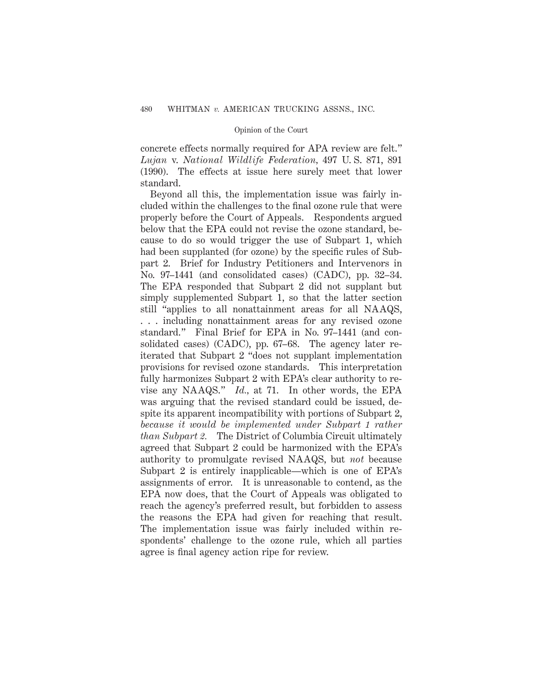concrete effects normally required for APA review are felt." *Lujan* v. *National Wildlife Federation,* 497 U. S. 871, 891 (1990). The effects at issue here surely meet that lower standard.

Beyond all this, the implementation issue was fairly included within the challenges to the final ozone rule that were properly before the Court of Appeals. Respondents argued below that the EPA could not revise the ozone standard, because to do so would trigger the use of Subpart 1, which had been supplanted (for ozone) by the specific rules of Subpart 2. Brief for Industry Petitioners and Intervenors in No. 97–1441 (and consolidated cases) (CADC), pp. 32–34. The EPA responded that Subpart 2 did not supplant but simply supplemented Subpart 1, so that the latter section still "applies to all nonattainment areas for all NAAQS, . . . including nonattainment areas for any revised ozone standard." Final Brief for EPA in No. 97–1441 (and consolidated cases) (CADC), pp. 67–68. The agency later reiterated that Subpart 2 "does not supplant implementation provisions for revised ozone standards. This interpretation fully harmonizes Subpart 2 with EPA's clear authority to revise any NAAQS." *Id.,* at 71. In other words, the EPA was arguing that the revised standard could be issued, despite its apparent incompatibility with portions of Subpart 2, *because it would be implemented under Subpart 1 rather than Subpart 2.* The District of Columbia Circuit ultimately agreed that Subpart 2 could be harmonized with the EPA's authority to promulgate revised NAAQS, but *not* because Subpart 2 is entirely inapplicable—which is one of EPA's assignments of error. It is unreasonable to contend, as the EPA now does, that the Court of Appeals was obligated to reach the agency's preferred result, but forbidden to assess the reasons the EPA had given for reaching that result. The implementation issue was fairly included within respondents' challenge to the ozone rule, which all parties agree is final agency action ripe for review.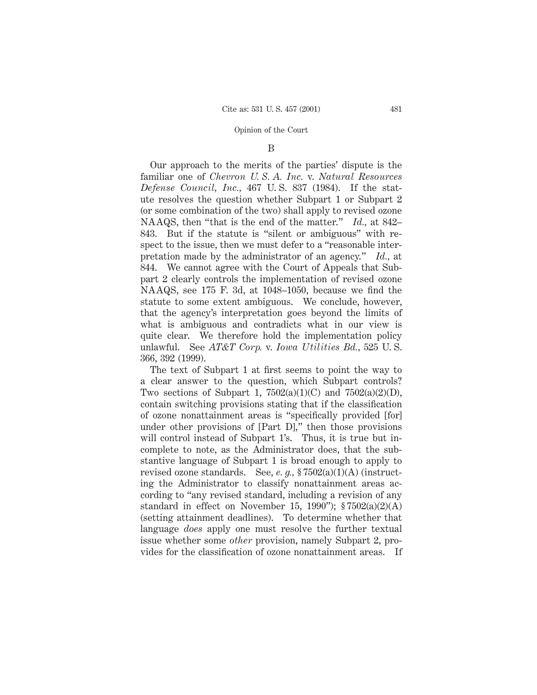# B

Our approach to the merits of the parties' dispute is the familiar one of *Chevron U. S. A. Inc.* v. *Natural Resources Defense Council, Inc.,* 467 U. S. 837 (1984). If the statute resolves the question whether Subpart 1 or Subpart 2 (or some combination of the two) shall apply to revised ozone NAAQS, then "that is the end of the matter." *Id.,* at 842– 843. But if the statute is "silent or ambiguous" with respect to the issue, then we must defer to a "reasonable interpretation made by the administrator of an agency." *Id.,* at 844. We cannot agree with the Court of Appeals that Subpart 2 clearly controls the implementation of revised ozone NAAQS, see 175 F. 3d, at 1048–1050, because we find the statute to some extent ambiguous. We conclude, however, that the agency's interpretation goes beyond the limits of what is ambiguous and contradicts what in our view is quite clear. We therefore hold the implementation policy unlawful. See *AT&T Corp.* v. *Iowa Utilities Bd.,* 525 U. S. 366, 392 (1999).

The text of Subpart 1 at first seems to point the way to a clear answer to the question, which Subpart controls? Two sections of Subpart 1,  $7502(a)(1)(C)$  and  $7502(a)(2)(D)$ , contain switching provisions stating that if the classification of ozone nonattainment areas is "specifically provided [for] under other provisions of [Part D]," then those provisions will control instead of Subpart 1's. Thus, it is true but incomplete to note, as the Administrator does, that the substantive language of Subpart 1 is broad enough to apply to revised ozone standards. See, *e. g.,* § 7502(a)(1)(A) (instructing the Administrator to classify nonattainment areas according to "any revised standard, including a revision of any standard in effect on November 15, 1990");  $$7502(a)(2)(A)$ (setting attainment deadlines). To determine whether that language *does* apply one must resolve the further textual issue whether some *other* provision, namely Subpart 2, provides for the classification of ozone nonattainment areas. If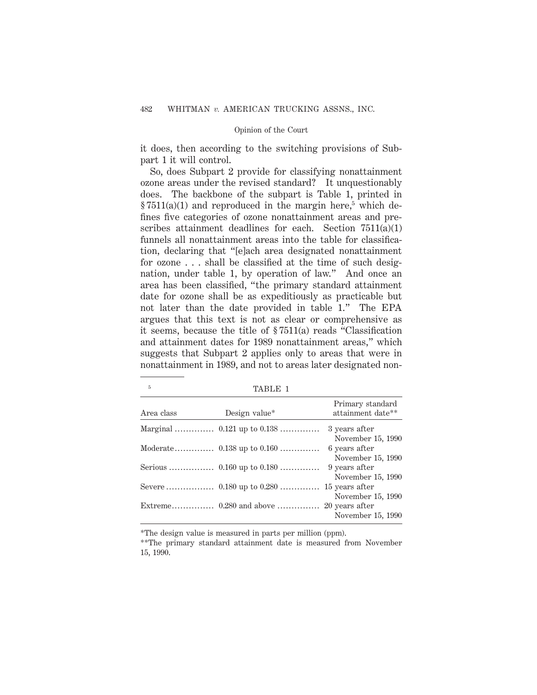it does, then according to the switching provisions of Subpart 1 it will control.

So, does Subpart 2 provide for classifying nonattainment ozone areas under the revised standard? It unquestionably does. The backbone of the subpart is Table 1, printed in  $$7511(a)(1)$  and reproduced in the margin here,<sup>5</sup> which defines five categories of ozone nonattainment areas and prescribes attainment deadlines for each. Section 7511(a)(1) funnels all nonattainment areas into the table for classification, declaring that "[e]ach area designated nonattainment for ozone . . . shall be classified at the time of such designation, under table 1, by operation of law." And once an area has been classified, "the primary standard attainment date for ozone shall be as expeditiously as practicable but not later than the date provided in table 1." The EPA argues that this text is not as clear or comprehensive as it seems, because the title of § 7511(a) reads "Classification and attainment dates for 1989 nonattainment areas," which suggests that Subpart 2 applies only to areas that were in nonattainment in 1989, and not to areas later designated non-

| Area class | Design value* | Primary standard<br>attainment date** |
|------------|---------------|---------------------------------------|
|            |               | 3 years after                         |
|            |               | November 15, 1990                     |
|            |               | 6 years after                         |
|            |               | November 15, 1990                     |
|            |               | 9 years after                         |
|            |               | November 15, 1990                     |
|            |               | 15 years after                        |
|            |               | November 15, 1990                     |
|            |               | 20 years after                        |
|            |               | November 15, 1990                     |

<sup>5</sup> TABLE 1

\*The design value is measured in parts per million (ppm).

\*\*The primary standard attainment date is measured from November 15, 1990.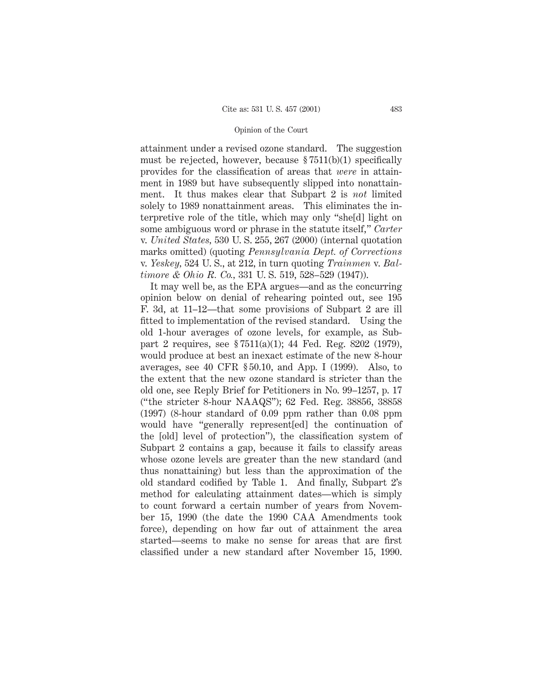attainment under a revised ozone standard. The suggestion must be rejected, however, because  $$7511(b)(1)$  specifically provides for the classification of areas that *were* in attainment in 1989 but have subsequently slipped into nonattainment. It thus makes clear that Subpart 2 is *not* limited solely to 1989 nonattainment areas. This eliminates the interpretive role of the title, which may only "she[d] light on some ambiguous word or phrase in the statute itself," *Carter* v. *United States,* 530 U. S. 255, 267 (2000) (internal quotation marks omitted) (quoting *Pennsylvania Dept. of Corrections* v. *Yeskey,* 524 U. S., at 212, in turn quoting *Trainmen* v. *Baltimore & Ohio R. Co.,* 331 U. S. 519, 528–529 (1947)).

It may well be, as the EPA argues—and as the concurring opinion below on denial of rehearing pointed out, see 195 F. 3d, at 11–12—that some provisions of Subpart 2 are ill fitted to implementation of the revised standard. Using the old 1-hour averages of ozone levels, for example, as Subpart 2 requires, see § 7511(a)(1); 44 Fed. Reg. 8202 (1979), would produce at best an inexact estimate of the new 8-hour averages, see 40 CFR § 50.10, and App. I (1999). Also, to the extent that the new ozone standard is stricter than the old one, see Reply Brief for Petitioners in No. 99–1257, p. 17 ("the stricter 8-hour NAAQS"); 62 Fed. Reg. 38856, 38858 (1997) (8-hour standard of 0.09 ppm rather than 0.08 ppm would have "generally represent[ed] the continuation of the [old] level of protection"), the classification system of Subpart 2 contains a gap, because it fails to classify areas whose ozone levels are greater than the new standard (and thus nonattaining) but less than the approximation of the old standard codified by Table 1. And finally, Subpart 2's method for calculating attainment dates—which is simply to count forward a certain number of years from November 15, 1990 (the date the 1990 CAA Amendments took force), depending on how far out of attainment the area started—seems to make no sense for areas that are first classified under a new standard after November 15, 1990.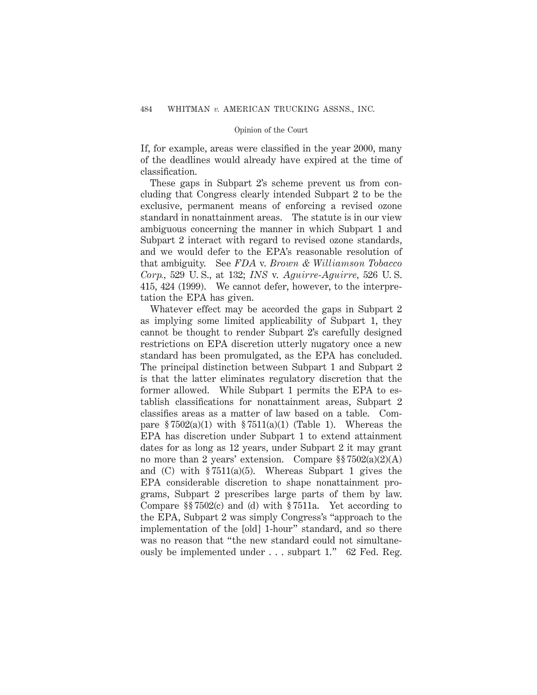If, for example, areas were classified in the year 2000, many of the deadlines would already have expired at the time of classification.

These gaps in Subpart 2's scheme prevent us from concluding that Congress clearly intended Subpart 2 to be the exclusive, permanent means of enforcing a revised ozone standard in nonattainment areas. The statute is in our view ambiguous concerning the manner in which Subpart 1 and Subpart 2 interact with regard to revised ozone standards, and we would defer to the EPA's reasonable resolution of that ambiguity. See *FDA* v. *Brown & Williamson Tobacco Corp.,* 529 U. S., at 132; *INS* v. *Aguirre-Aguirre,* 526 U. S. 415, 424 (1999). We cannot defer, however, to the interpretation the EPA has given.

Whatever effect may be accorded the gaps in Subpart 2 as implying some limited applicability of Subpart 1, they cannot be thought to render Subpart 2's carefully designed restrictions on EPA discretion utterly nugatory once a new standard has been promulgated, as the EPA has concluded. The principal distinction between Subpart 1 and Subpart 2 is that the latter eliminates regulatory discretion that the former allowed. While Subpart 1 permits the EPA to establish classifications for nonattainment areas, Subpart 2 classifies areas as a matter of law based on a table. Compare  $$7502(a)(1)$  with  $$7511(a)(1)$  (Table 1). Whereas the EPA has discretion under Subpart 1 to extend attainment dates for as long as 12 years, under Subpart 2 it may grant no more than 2 years' extension. Compare  $\S$  $7502(a)(2)(A)$ and (C) with  $$7511(a)(5)$ . Whereas Subpart 1 gives the EPA considerable discretion to shape nonattainment programs, Subpart 2 prescribes large parts of them by law. Compare §§ 7502(c) and (d) with § 7511a. Yet according to the EPA, Subpart 2 was simply Congress's "approach to the implementation of the [old] 1-hour" standard, and so there was no reason that "the new standard could not simultaneously be implemented under... subpart 1." 62 Fed. Reg.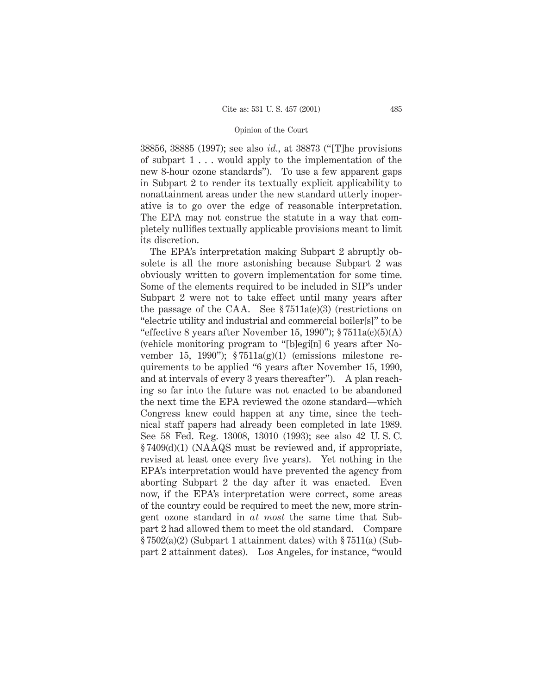38856, 38885 (1997); see also *id.,* at 38873 ("[T]he provisions of subpart 1 . . . would apply to the implementation of the new 8-hour ozone standards"). To use a few apparent gaps in Subpart 2 to render its textually explicit applicability to nonattainment areas under the new standard utterly inoperative is to go over the edge of reasonable interpretation. The EPA may not construe the statute in a way that completely nullifies textually applicable provisions meant to limit its discretion.

The EPA's interpretation making Subpart 2 abruptly obsolete is all the more astonishing because Subpart 2 was obviously written to govern implementation for some time. Some of the elements required to be included in SIP's under Subpart 2 were not to take effect until many years after the passage of the CAA. See  $$7511a(e)(3)$  (restrictions on "electric utility and industrial and commercial boiler[s]" to be "effective 8 years after November 15, 1990");  $\S 7511a(c)(5)(A)$ (vehicle monitoring program to "[b]egi[n] 6 years after November 15, 1990");  $\S 7511a(g)(1)$  (emissions milestone requirements to be applied "6 years after November 15, 1990, and at intervals of every 3 years thereafter"). A plan reaching so far into the future was not enacted to be abandoned the next time the EPA reviewed the ozone standard—which Congress knew could happen at any time, since the technical staff papers had already been completed in late 1989. See 58 Fed. Reg. 13008, 13010 (1993); see also 42 U. S. C. § 7409(d)(1) (NAAQS must be reviewed and, if appropriate, revised at least once every five years). Yet nothing in the EPA's interpretation would have prevented the agency from aborting Subpart 2 the day after it was enacted. Even now, if the EPA's interpretation were correct, some areas of the country could be required to meet the new, more stringent ozone standard in *at most* the same time that Subpart 2 had allowed them to meet the old standard. Compare § 7502(a)(2) (Subpart 1 attainment dates) with § 7511(a) (Subpart 2 attainment dates). Los Angeles, for instance, "would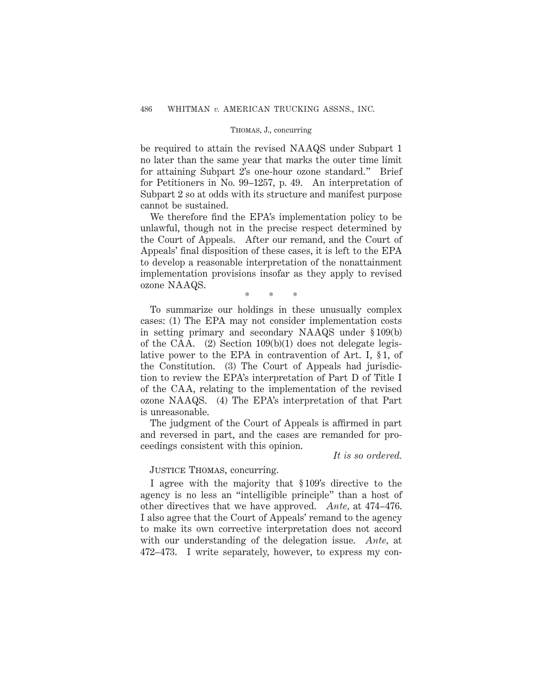# Thomas, J., concurring

be required to attain the revised NAAQS under Subpart 1 no later than the same year that marks the outer time limit for attaining Subpart 2's one-hour ozone standard." Brief for Petitioners in No. 99–1257, p. 49. An interpretation of Subpart 2 so at odds with its structure and manifest purpose cannot be sustained.

We therefore find the EPA's implementation policy to be unlawful, though not in the precise respect determined by the Court of Appeals. After our remand, and the Court of Appeals' final disposition of these cases, it is left to the EPA to develop a reasonable interpretation of the nonattainment implementation provisions insofar as they apply to revised ozone NAAQS.

\*\*\*

To summarize our holdings in these unusually complex cases: (1) The EPA may not consider implementation costs in setting primary and secondary NAAQS under § 109(b) of the CAA. (2) Section 109(b)(1) does not delegate legislative power to the EPA in contravention of Art. I, § 1, of the Constitution. (3) The Court of Appeals had jurisdiction to review the EPA's interpretation of Part D of Title I of the CAA, relating to the implementation of the revised ozone NAAQS. (4) The EPA's interpretation of that Part is unreasonable.

The judgment of the Court of Appeals is affirmed in part and reversed in part, and the cases are remanded for proceedings consistent with this opinion.

*It is so ordered.*

JUSTICE THOMAS, concurring.

I agree with the majority that § 109's directive to the agency is no less an "intelligible principle" than a host of other directives that we have approved. *Ante,* at 474–476. I also agree that the Court of Appeals' remand to the agency to make its own corrective interpretation does not accord with our understanding of the delegation issue. *Ante,* at 472–473. I write separately, however, to express my con-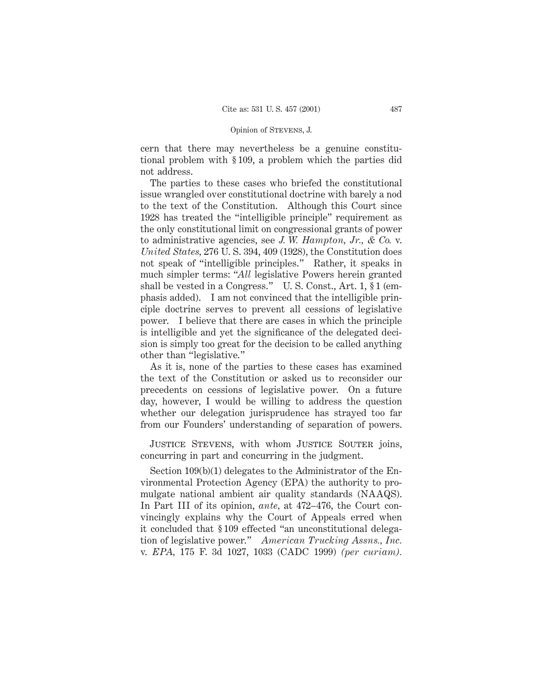## Opinion of Stevens, J.

cern that there may nevertheless be a genuine constitutional problem with § 109, a problem which the parties did not address.

The parties to these cases who briefed the constitutional issue wrangled over constitutional doctrine with barely a nod to the text of the Constitution. Although this Court since 1928 has treated the "intelligible principle" requirement as the only constitutional limit on congressional grants of power to administrative agencies, see *J. W. Hampton, Jr., & Co.* v. *United States,* 276 U. S. 394, 409 (1928), the Constitution does not speak of "intelligible principles." Rather, it speaks in much simpler terms: "*All* legislative Powers herein granted shall be vested in a Congress." U. S. Const., Art. 1, § 1 (emphasis added). I am not convinced that the intelligible principle doctrine serves to prevent all cessions of legislative power. I believe that there are cases in which the principle is intelligible and yet the significance of the delegated decision is simply too great for the decision to be called anything other than "legislative."

As it is, none of the parties to these cases has examined the text of the Constitution or asked us to reconsider our precedents on cessions of legislative power. On a future day, however, I would be willing to address the question whether our delegation jurisprudence has strayed too far from our Founders' understanding of separation of powers.

JUSTICE STEVENS, with whom JUSTICE SOUTER joins, concurring in part and concurring in the judgment.

Section 109(b)(1) delegates to the Administrator of the Environmental Protection Agency (EPA) the authority to promulgate national ambient air quality standards (NAAQS). In Part III of its opinion, *ante,* at 472–476, the Court convincingly explains why the Court of Appeals erred when it concluded that § 109 effected "an unconstitutional delegation of legislative power." *American Trucking Assns., Inc.* v. *EPA,* 175 F. 3d 1027, 1033 (CADC 1999) *(per curiam).*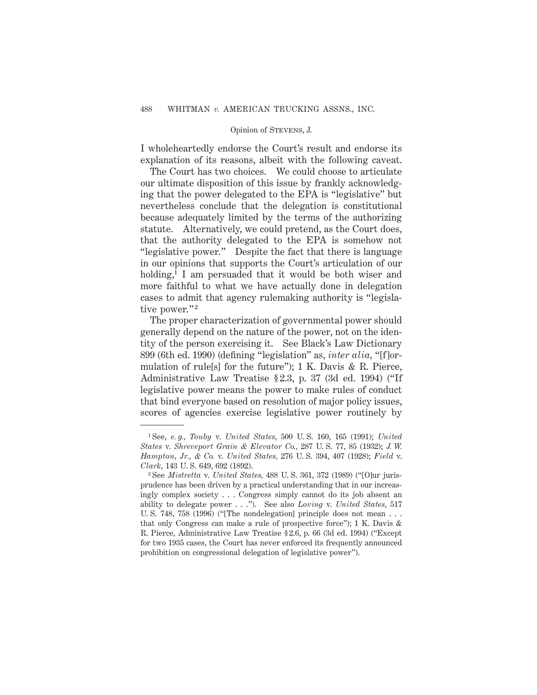## Opinion of Stevens, J.

I wholeheartedly endorse the Court's result and endorse its explanation of its reasons, albeit with the following caveat.

The Court has two choices. We could choose to articulate our ultimate disposition of this issue by frankly acknowledging that the power delegated to the EPA is "legislative" but nevertheless conclude that the delegation is constitutional because adequately limited by the terms of the authorizing statute. Alternatively, we could pretend, as the Court does, that the authority delegated to the EPA is somehow not "legislative power." Despite the fact that there is language in our opinions that supports the Court's articulation of our holding,<sup>1</sup> I am persuaded that it would be both wiser and more faithful to what we have actually done in delegation cases to admit that agency rulemaking authority is "legislative power."<sup>2</sup>

The proper characterization of governmental power should generally depend on the nature of the power, not on the identity of the person exercising it. See Black's Law Dictionary 899 (6th ed. 1990) (defining "legislation" as, *inter alia,* "[f]ormulation of rule[s] for the future"); 1 K. Davis & R. Pierce, Administrative Law Treatise § 2.3, p. 37 (3d ed. 1994) ("If legislative power means the power to make rules of conduct that bind everyone based on resolution of major policy issues, scores of agencies exercise legislative power routinely by

<sup>1</sup> See, *e. g., Touby* v. *United States,* 500 U. S. 160, 165 (1991); *United States* v. *Shreveport Grain & Elevator Co.,* 287 U. S. 77, 85 (1932); *J. W. Hampton, Jr., & Co.* v. *United States,* 276 U. S. 394, 407 (1928); *Field* v. *Clark,* 143 U. S. 649, 692 (1892).

<sup>2</sup> See *Mistretta* v. *United States,* 488 U. S. 361, 372 (1989) ("[O]ur jurisprudence has been driven by a practical understanding that in our increasingly complex society . . . Congress simply cannot do its job absent an ability to delegate power . . ."). See also *Loving* v. *United States,* 517 U. S. 748, 758 (1996) ("[The nondelegation] principle does not mean . . . that only Congress can make a rule of prospective force"); 1 K. Davis & R. Pierce, Administrative Law Treatise § 2.6, p. 66 (3d ed. 1994) ("Except for two 1935 cases, the Court has never enforced its frequently announced prohibition on congressional delegation of legislative power").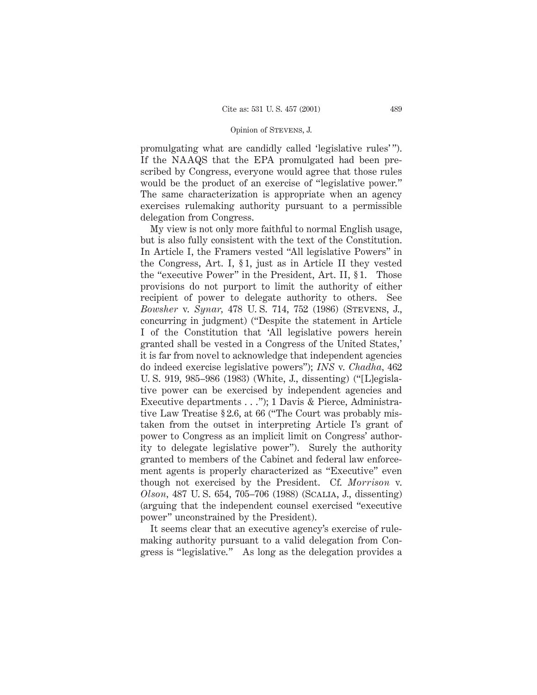## Opinion of Stevens, J.

promulgating what are candidly called 'legislative rules' "). If the NAAQS that the EPA promulgated had been prescribed by Congress, everyone would agree that those rules would be the product of an exercise of "legislative power." The same characterization is appropriate when an agency exercises rulemaking authority pursuant to a permissible delegation from Congress.

My view is not only more faithful to normal English usage, but is also fully consistent with the text of the Constitution. In Article I, the Framers vested "All legislative Powers" in the Congress, Art. I, § 1, just as in Article II they vested the "executive Power" in the President, Art. II, § 1. Those provisions do not purport to limit the authority of either recipient of power to delegate authority to others. See *Bowsher* v. *Synar,* 478 U. S. 714, 752 (1986) (Stevens, J., concurring in judgment) ("Despite the statement in Article I of the Constitution that 'All legislative powers herein granted shall be vested in a Congress of the United States,' it is far from novel to acknowledge that independent agencies do indeed exercise legislative powers"); *INS* v. *Chadha,* 462 U. S. 919, 985–986 (1983) (White, J., dissenting) ("[L]egislative power can be exercised by independent agencies and Executive departments . . ."); 1 Davis & Pierce, Administrative Law Treatise § 2.6, at 66 ("The Court was probably mistaken from the outset in interpreting Article I's grant of power to Congress as an implicit limit on Congress' authority to delegate legislative power"). Surely the authority granted to members of the Cabinet and federal law enforcement agents is properly characterized as "Executive" even though not exercised by the President. Cf. *Morrison* v. *Olson,* 487 U. S. 654, 705–706 (1988) (Scalia, J., dissenting) (arguing that the independent counsel exercised "executive power" unconstrained by the President).

It seems clear that an executive agency's exercise of rulemaking authority pursuant to a valid delegation from Congress is "legislative." As long as the delegation provides a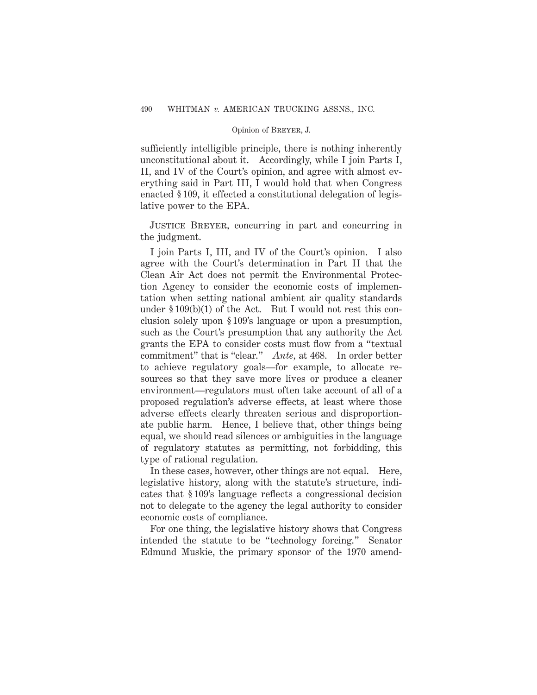sufficiently intelligible principle, there is nothing inherently unconstitutional about it. Accordingly, while I join Parts I, II, and IV of the Court's opinion, and agree with almost everything said in Part III, I would hold that when Congress enacted § 109, it effected a constitutional delegation of legislative power to the EPA.

Justice Breyer, concurring in part and concurring in the judgment.

I join Parts I, III, and IV of the Court's opinion. I also agree with the Court's determination in Part II that the Clean Air Act does not permit the Environmental Protection Agency to consider the economic costs of implementation when setting national ambient air quality standards under  $\S 109(b)(1)$  of the Act. But I would not rest this conclusion solely upon § 109's language or upon a presumption, such as the Court's presumption that any authority the Act grants the EPA to consider costs must flow from a "textual commitment" that is "clear." *Ante,* at 468. In order better to achieve regulatory goals—for example, to allocate resources so that they save more lives or produce a cleaner environment—regulators must often take account of all of a proposed regulation's adverse effects, at least where those adverse effects clearly threaten serious and disproportionate public harm. Hence, I believe that, other things being equal, we should read silences or ambiguities in the language of regulatory statutes as permitting, not forbidding, this type of rational regulation.

In these cases, however, other things are not equal. Here, legislative history, along with the statute's structure, indicates that § 109's language reflects a congressional decision not to delegate to the agency the legal authority to consider economic costs of compliance.

For one thing, the legislative history shows that Congress intended the statute to be "technology forcing." Senator Edmund Muskie, the primary sponsor of the 1970 amend-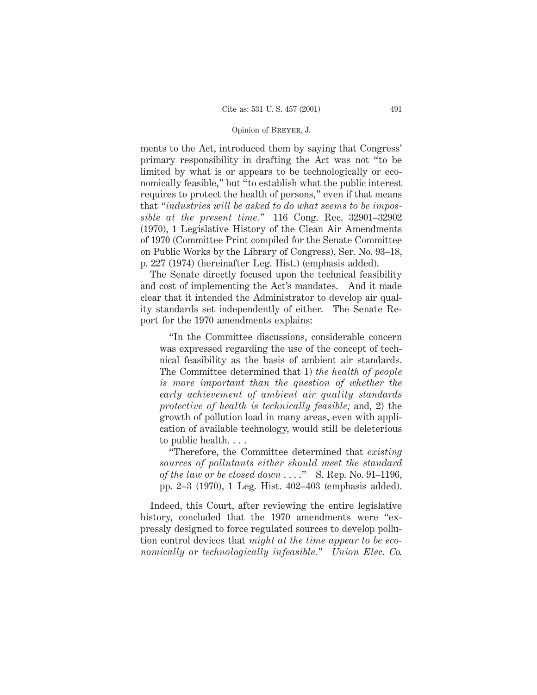ments to the Act, introduced them by saying that Congress' primary responsibility in drafting the Act was not "to be limited by what is or appears to be technologically or economically feasible," but "to establish what the public interest requires to protect the health of persons," even if that means that *"industries will be asked to do what seems to be impossible at the present time."* 116 Cong. Rec. 32901–32902 (1970), 1 Legislative History of the Clean Air Amendments of 1970 (Committee Print compiled for the Senate Committee on Public Works by the Library of Congress), Ser. No. 93–18, p. 227 (1974) (hereinafter Leg. Hist.) (emphasis added).

The Senate directly focused upon the technical feasibility and cost of implementing the Act's mandates. And it made clear that it intended the Administrator to develop air quality standards set independently of either. The Senate Report for the 1970 amendments explains:

"In the Committee discussions, considerable concern was expressed regarding the use of the concept of technical feasibility as the basis of ambient air standards. The Committee determined that 1) *the health of people is more important than the question of whether the early achievement of ambient air quality standards protective of health is technically feasible;* and, 2) the growth of pollution load in many areas, even with application of available technology, would still be deleterious to public health....

"Therefore, the Committee determined that *existing sources of pollutants either should meet the standard of the law or be closed down* . . . ." S. Rep. No. 91–1196, pp. 2–3 (1970), 1 Leg. Hist. 402–403 (emphasis added).

Indeed, this Court, after reviewing the entire legislative history, concluded that the 1970 amendments were "expressly designed to force regulated sources to develop pollution control devices that *might at the time appear to be economically or technologically infeasible." Union Elec. Co.*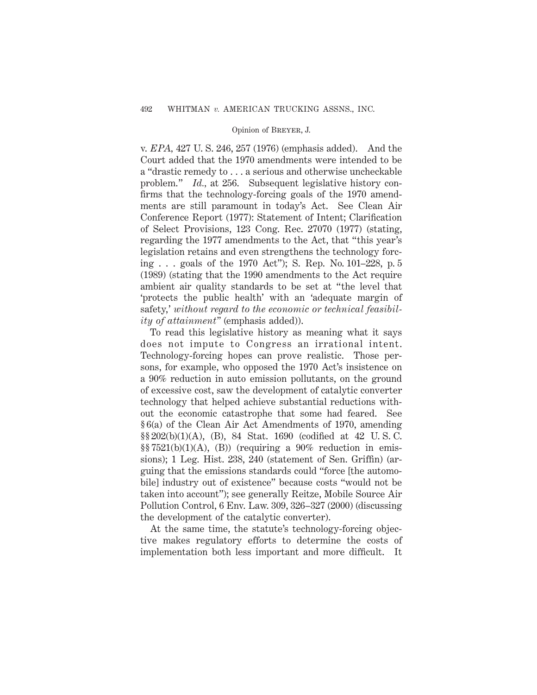v. *EPA,* 427 U. S. 246, 257 (1976) (emphasis added). And the Court added that the 1970 amendments were intended to be a "drastic remedy to . . . a serious and otherwise uncheckable problem." *Id.,* at 256. Subsequent legislative history confirms that the technology-forcing goals of the 1970 amendments are still paramount in today's Act. See Clean Air Conference Report (1977): Statement of Intent; Clarification of Select Provisions, 123 Cong. Rec. 27070 (1977) (stating, regarding the 1977 amendments to the Act, that "this year's legislation retains and even strengthens the technology forcing . . . goals of the 1970 Act"); S. Rep. No. 101–228, p. 5 (1989) (stating that the 1990 amendments to the Act require ambient air quality standards to be set at "the level that 'protects the public health' with an 'adequate margin of safety,' *without regard to the economic or technical feasibility of attainment"* (emphasis added)).

To read this legislative history as meaning what it says does not impute to Congress an irrational intent. Technology-forcing hopes can prove realistic. Those persons, for example, who opposed the 1970 Act's insistence on a 90% reduction in auto emission pollutants, on the ground of excessive cost, saw the development of catalytic converter technology that helped achieve substantial reductions without the economic catastrophe that some had feared. See § 6(a) of the Clean Air Act Amendments of 1970, amending §§ 202(b)(1)(A), (B), 84 Stat. 1690 (codified at 42 U. S. C.  $\S$ §7521(b)(1)(A), (B)) (requiring a 90% reduction in emissions); 1 Leg. Hist. 238, 240 (statement of Sen. Griffin) (arguing that the emissions standards could "force [the automobile] industry out of existence" because costs "would not be taken into account"); see generally Reitze, Mobile Source Air Pollution Control, 6 Env. Law. 309, 326–327 (2000) (discussing the development of the catalytic converter).

At the same time, the statute's technology-forcing objective makes regulatory efforts to determine the costs of implementation both less important and more difficult. It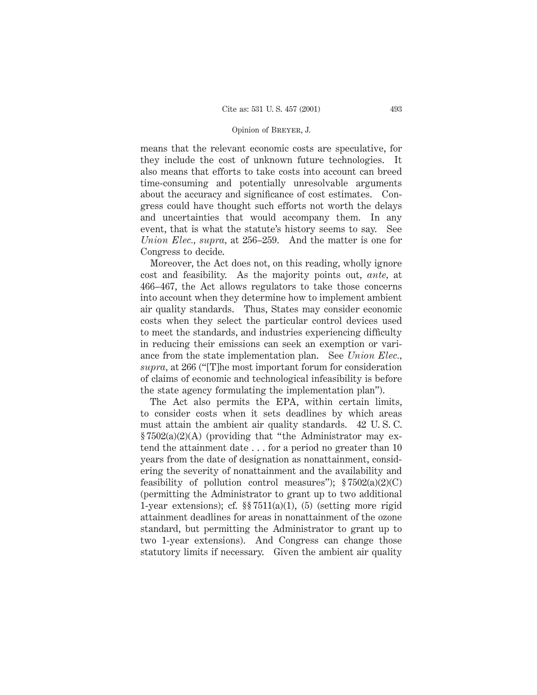means that the relevant economic costs are speculative, for they include the cost of unknown future technologies. It also means that efforts to take costs into account can breed time-consuming and potentially unresolvable arguments about the accuracy and significance of cost estimates. Congress could have thought such efforts not worth the delays and uncertainties that would accompany them. In any event, that is what the statute's history seems to say. See *Union Elec., supra,* at 256–259. And the matter is one for Congress to decide.

Moreover, the Act does not, on this reading, wholly ignore cost and feasibility. As the majority points out, *ante,* at 466–467, the Act allows regulators to take those concerns into account when they determine how to implement ambient air quality standards. Thus, States may consider economic costs when they select the particular control devices used to meet the standards, and industries experiencing difficulty in reducing their emissions can seek an exemption or variance from the state implementation plan. See *Union Elec., supra,* at 266 ("[T]he most important forum for consideration of claims of economic and technological infeasibility is before the state agency formulating the implementation plan").

The Act also permits the EPA, within certain limits, to consider costs when it sets deadlines by which areas must attain the ambient air quality standards. 42 U. S. C.  $\S 7502(a)(2)(A)$  (providing that "the Administrator may extend the attainment date . . . for a period no greater than 10 years from the date of designation as nonattainment, considering the severity of nonattainment and the availability and feasibility of pollution control measures");  $$7502(a)(2)(C)$ (permitting the Administrator to grant up to two additional 1-year extensions); cf.  $\S 7511(a)(1)$ , (5) (setting more rigid attainment deadlines for areas in nonattainment of the ozone standard, but permitting the Administrator to grant up to two 1-year extensions). And Congress can change those statutory limits if necessary. Given the ambient air quality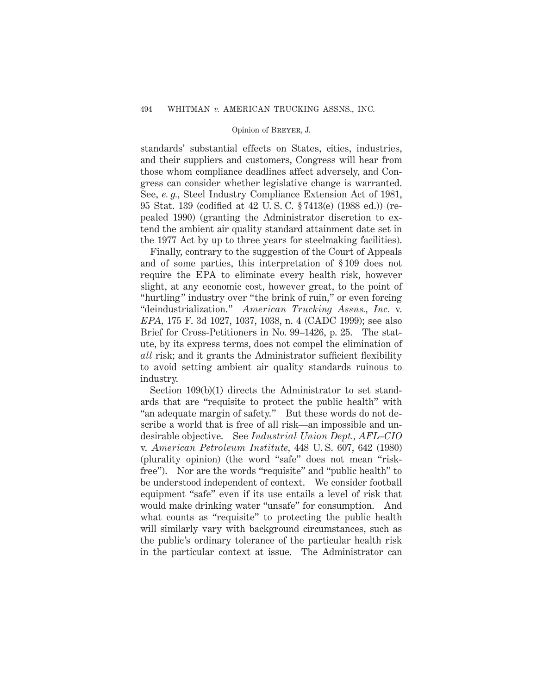standards' substantial effects on States, cities, industries, and their suppliers and customers, Congress will hear from those whom compliance deadlines affect adversely, and Congress can consider whether legislative change is warranted. See, *e. g.,* Steel Industry Compliance Extension Act of 1981, 95 Stat. 139 (codified at 42 U. S. C. § 7413(e) (1988 ed.)) (repealed 1990) (granting the Administrator discretion to extend the ambient air quality standard attainment date set in the 1977 Act by up to three years for steelmaking facilities).

Finally, contrary to the suggestion of the Court of Appeals and of some parties, this interpretation of § 109 does not require the EPA to eliminate every health risk, however slight, at any economic cost, however great, to the point of "hurtling" industry over "the brink of ruin," or even forcing "deindustrialization." *American Trucking Assns., Inc.* v. *EPA,* 175 F. 3d 1027, 1037, 1038, n. 4 (CADC 1999); see also Brief for Cross-Petitioners in No. 99–1426, p. 25. The statute, by its express terms, does not compel the elimination of *all* risk; and it grants the Administrator sufficient flexibility to avoid setting ambient air quality standards ruinous to industry.

Section 109(b)(1) directs the Administrator to set standards that are "requisite to protect the public health" with "an adequate margin of safety." But these words do not describe a world that is free of all risk—an impossible and undesirable objective. See *Industrial Union Dept., AFL–CIO* v. *American Petroleum Institute,* 448 U. S. 607, 642 (1980) (plurality opinion) (the word "safe" does not mean "riskfree"). Nor are the words "requisite" and "public health" to be understood independent of context. We consider football equipment "safe" even if its use entails a level of risk that would make drinking water "unsafe" for consumption. And what counts as "requisite" to protecting the public health will similarly vary with background circumstances, such as the public's ordinary tolerance of the particular health risk in the particular context at issue. The Administrator can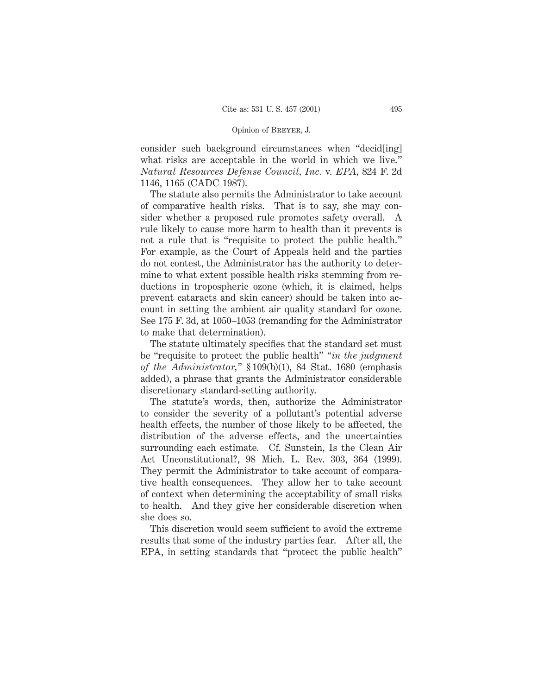consider such background circumstances when "decid[ing] what risks are acceptable in the world in which we live." *Natural Resources Defense Council, Inc.* v. *EPA,* 824 F. 2d 1146, 1165 (CADC 1987).

The statute also permits the Administrator to take account of comparative health risks. That is to say, she may consider whether a proposed rule promotes safety overall. A rule likely to cause more harm to health than it prevents is not a rule that is "requisite to protect the public health." For example, as the Court of Appeals held and the parties do not contest, the Administrator has the authority to determine to what extent possible health risks stemming from reductions in tropospheric ozone (which, it is claimed, helps prevent cataracts and skin cancer) should be taken into account in setting the ambient air quality standard for ozone. See 175 F. 3d, at 1050–1053 (remanding for the Administrator to make that determination).

The statute ultimately specifies that the standard set must be "requisite to protect the public health" *"in the judgment of the Administrator,"* § 109(b)(1), 84 Stat. 1680 (emphasis added), a phrase that grants the Administrator considerable discretionary standard-setting authority.

The statute's words, then, authorize the Administrator to consider the severity of a pollutant's potential adverse health effects, the number of those likely to be affected, the distribution of the adverse effects, and the uncertainties surrounding each estimate. Cf. Sunstein, Is the Clean Air Act Unconstitutional?, 98 Mich. L. Rev. 303, 364 (1999). They permit the Administrator to take account of comparative health consequences. They allow her to take account of context when determining the acceptability of small risks to health. And they give her considerable discretion when she does so.

This discretion would seem sufficient to avoid the extreme results that some of the industry parties fear. After all, the EPA, in setting standards that "protect the public health"